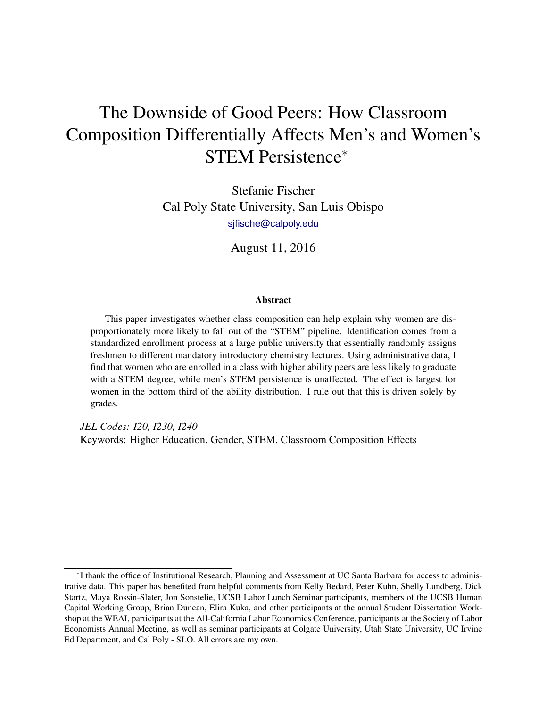# The Downside of Good Peers: How Classroom Composition Differentially Affects Men's and Women's STEM Persistence<sup>∗</sup>

Stefanie Fischer Cal Poly State University, San Luis Obispo [sjfische@calpoly.edu](mailto:sjfische@calpoly.edu)

August 11, 2016

#### **Abstract**

This paper investigates whether class composition can help explain why women are disproportionately more likely to fall out of the "STEM" pipeline. Identification comes from a standardized enrollment process at a large public university that essentially randomly assigns freshmen to different mandatory introductory chemistry lectures. Using administrative data, I find that women who are enrolled in a class with higher ability peers are less likely to graduate with a STEM degree, while men's STEM persistence is unaffected. The effect is largest for women in the bottom third of the ability distribution. I rule out that this is driven solely by grades.

*JEL Codes: I20, I230, I240* Keywords: Higher Education, Gender, STEM, Classroom Composition Effects

<sup>∗</sup> I thank the office of Institutional Research, Planning and Assessment at UC Santa Barbara for access to administrative data. This paper has benefited from helpful comments from Kelly Bedard, Peter Kuhn, Shelly Lundberg, Dick Startz, Maya Rossin-Slater, Jon Sonstelie, UCSB Labor Lunch Seminar participants, members of the UCSB Human Capital Working Group, Brian Duncan, Elira Kuka, and other participants at the annual Student Dissertation Workshop at the WEAI, participants at the All-California Labor Economics Conference, participants at the Society of Labor Economists Annual Meeting, as well as seminar participants at Colgate University, Utah State University, UC Irvine Ed Department, and Cal Poly - SLO. All errors are my own.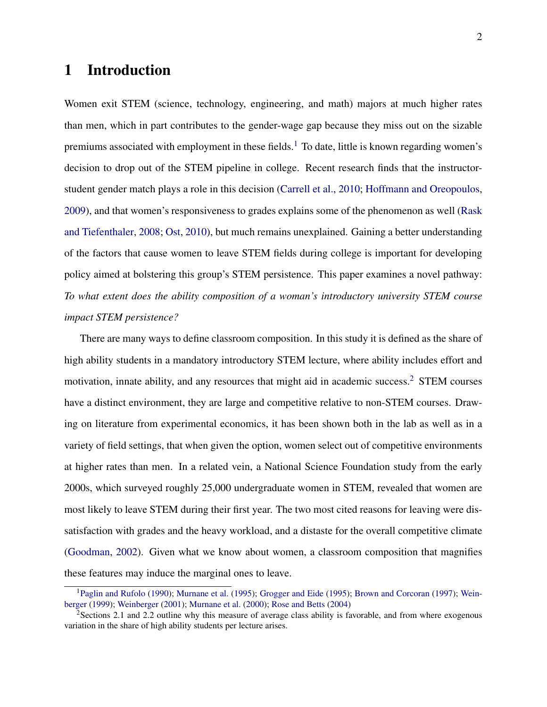# 1 Introduction

Women exit STEM (science, technology, engineering, and math) majors at much higher rates than men, which in part contributes to the gender-wage gap because they miss out on the sizable premiums associated with employment in these fields.<sup>[1](#page-1-0)</sup> To date, little is known regarding women's decision to drop out of the STEM pipeline in college. Recent research finds that the instructorstudent gender match plays a role in this decision [\(Carrell et al.,](#page-28-0) [2010;](#page-28-0) [Hoffmann and Oreopoulos,](#page-29-0) [2009\)](#page-29-0), and that women's responsiveness to grades explains some of the phenomenon as well [\(Rask](#page-30-0) [and Tiefenthaler,](#page-30-0) [2008;](#page-30-0) [Ost,](#page-30-1) [2010\)](#page-30-1), but much remains unexplained. Gaining a better understanding of the factors that cause women to leave STEM fields during college is important for developing policy aimed at bolstering this group's STEM persistence. This paper examines a novel pathway: *To what extent does the ability composition of a woman's introductory university STEM course impact STEM persistence?*

There are many ways to define classroom composition. In this study it is defined as the share of high ability students in a mandatory introductory STEM lecture, where ability includes effort and motivation, innate ability, and any resources that might aid in academic success.<sup>[2](#page-1-1)</sup> STEM courses have a distinct environment, they are large and competitive relative to non-STEM courses. Drawing on literature from experimental economics, it has been shown both in the lab as well as in a variety of field settings, that when given the option, women select out of competitive environments at higher rates than men. In a related vein, a National Science Foundation study from the early 2000s, which surveyed roughly 25,000 undergraduate women in STEM, revealed that women are most likely to leave STEM during their first year. The two most cited reasons for leaving were dissatisfaction with grades and the heavy workload, and a distaste for the overall competitive climate [\(Goodman,](#page-29-1) [2002\)](#page-29-1). Given what we know about women, a classroom composition that magnifies these features may induce the marginal ones to leave.

<span id="page-1-0"></span><sup>1</sup>[Paglin and Rufolo](#page-30-2) [\(1990\)](#page-30-2); [Murnane et al.](#page-30-3) [\(1995\)](#page-30-3); [Grogger and Eide](#page-29-2) [\(1995\)](#page-29-2); [Brown and Corcoran](#page-28-1) [\(1997\)](#page-28-1); [Wein](#page-31-0)[berger](#page-31-0) [\(1999\)](#page-31-0); [Weinberger](#page-31-1) [\(2001\)](#page-31-1); [Murnane et al.](#page-30-4) [\(2000\)](#page-30-4); [Rose and Betts](#page-30-5) [\(2004\)](#page-30-5)

<span id="page-1-1"></span><sup>&</sup>lt;sup>2</sup>Sections 2.1 and 2.2 outline why this measure of average class ability is favorable, and from where exogenous variation in the share of high ability students per lecture arises.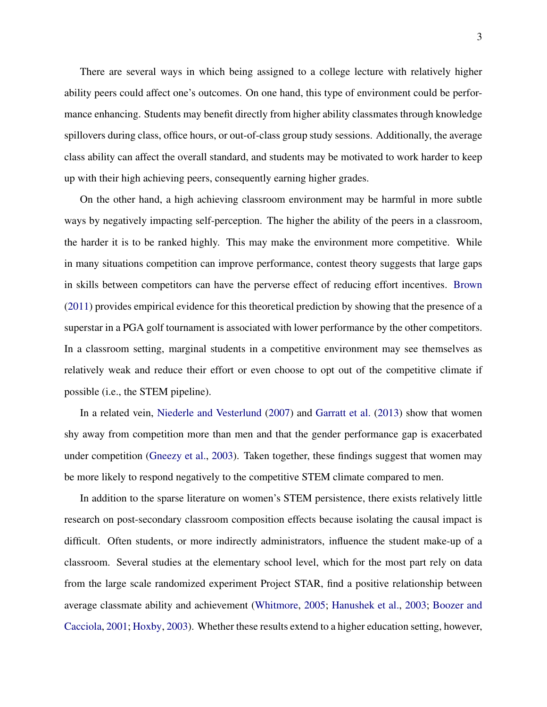There are several ways in which being assigned to a college lecture with relatively higher ability peers could affect one's outcomes. On one hand, this type of environment could be performance enhancing. Students may benefit directly from higher ability classmates through knowledge spillovers during class, office hours, or out-of-class group study sessions. Additionally, the average class ability can affect the overall standard, and students may be motivated to work harder to keep up with their high achieving peers, consequently earning higher grades.

On the other hand, a high achieving classroom environment may be harmful in more subtle ways by negatively impacting self-perception. The higher the ability of the peers in a classroom, the harder it is to be ranked highly. This may make the environment more competitive. While in many situations competition can improve performance, contest theory suggests that large gaps in skills between competitors can have the perverse effect of reducing effort incentives. [Brown](#page-28-2) [\(2011\)](#page-28-2) provides empirical evidence for this theoretical prediction by showing that the presence of a superstar in a PGA golf tournament is associated with lower performance by the other competitors. In a classroom setting, marginal students in a competitive environment may see themselves as relatively weak and reduce their effort or even choose to opt out of the competitive climate if possible (i.e., the STEM pipeline).

In a related vein, [Niederle and Vesterlund](#page-30-6) [\(2007\)](#page-30-6) and [Garratt et al.](#page-29-3) [\(2013\)](#page-29-3) show that women shy away from competition more than men and that the gender performance gap is exacerbated under competition [\(Gneezy et al.,](#page-29-4) [2003\)](#page-29-4). Taken together, these findings suggest that women may be more likely to respond negatively to the competitive STEM climate compared to men.

In addition to the sparse literature on women's STEM persistence, there exists relatively little research on post-secondary classroom composition effects because isolating the causal impact is difficult. Often students, or more indirectly administrators, influence the student make-up of a classroom. Several studies at the elementary school level, which for the most part rely on data from the large scale randomized experiment Project STAR, find a positive relationship between average classmate ability and achievement [\(Whitmore,](#page-31-2) [2005;](#page-31-2) [Hanushek et al.,](#page-29-5) [2003;](#page-29-5) [Boozer and](#page-28-3) [Cacciola,](#page-28-3) [2001;](#page-28-3) [Hoxby,](#page-29-6) [2003\)](#page-29-6). Whether these results extend to a higher education setting, however,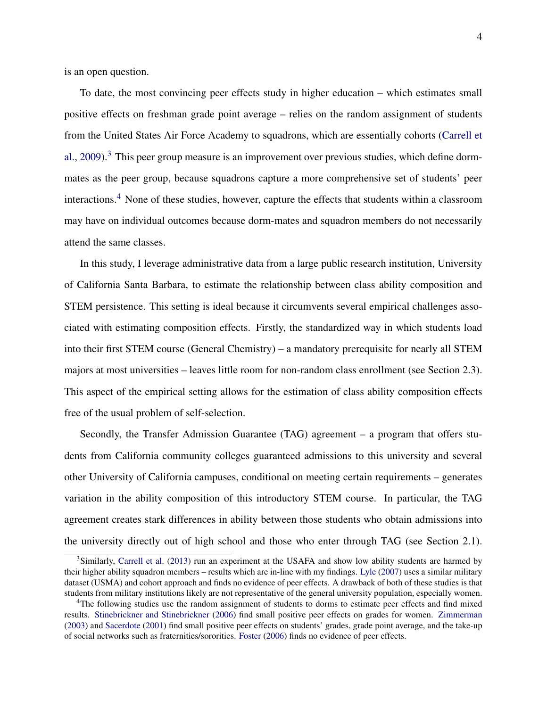is an open question.

To date, the most convincing peer effects study in higher education – which estimates small positive effects on freshman grade point average – relies on the random assignment of students from the United States Air Force Academy to squadrons, which are essentially cohorts [\(Carrell et](#page-28-4) [al.,](#page-28-4) [2009\)](#page-28-4).<sup>[3](#page-3-0)</sup> This peer group measure is an improvement over previous studies, which define dormmates as the peer group, because squadrons capture a more comprehensive set of students' peer interactions.[4](#page-3-1) None of these studies, however, capture the effects that students within a classroom may have on individual outcomes because dorm-mates and squadron members do not necessarily attend the same classes.

In this study, I leverage administrative data from a large public research institution, University of California Santa Barbara, to estimate the relationship between class ability composition and STEM persistence. This setting is ideal because it circumvents several empirical challenges associated with estimating composition effects. Firstly, the standardized way in which students load into their first STEM course (General Chemistry) – a mandatory prerequisite for nearly all STEM majors at most universities – leaves little room for non-random class enrollment (see Section 2.3). This aspect of the empirical setting allows for the estimation of class ability composition effects free of the usual problem of self-selection.

Secondly, the Transfer Admission Guarantee (TAG) agreement – a program that offers students from California community colleges guaranteed admissions to this university and several other University of California campuses, conditional on meeting certain requirements – generates variation in the ability composition of this introductory STEM course. In particular, the TAG agreement creates stark differences in ability between those students who obtain admissions into the university directly out of high school and those who enter through TAG (see Section 2.1).

<span id="page-3-0"></span><sup>&</sup>lt;sup>3</sup>Similarly, [Carrell et al.](#page-28-5) [\(2013\)](#page-28-5) run an experiment at the USAFA and show low ability students are harmed by their higher ability squadron members – results which are in-line with my findings. [Lyle](#page-30-7) [\(2007\)](#page-30-7) uses a similar military dataset (USMA) and cohort approach and finds no evidence of peer effects. A drawback of both of these studies is that students from military institutions likely are not representative of the general university population, especially women.

<span id="page-3-1"></span><sup>&</sup>lt;sup>4</sup>The following studies use the random assignment of students to dorms to estimate peer effects and find mixed results. [Stinebrickner and Stinebrickner](#page-31-3) [\(2006\)](#page-31-3) find small positive peer effects on grades for women. [Zimmerman](#page-31-4) [\(2003\)](#page-31-4) and [Sacerdote](#page-31-5) [\(2001\)](#page-31-5) find small positive peer effects on students' grades, grade point average, and the take-up of social networks such as fraternities/sororities. [Foster](#page-29-7) [\(2006\)](#page-29-7) finds no evidence of peer effects.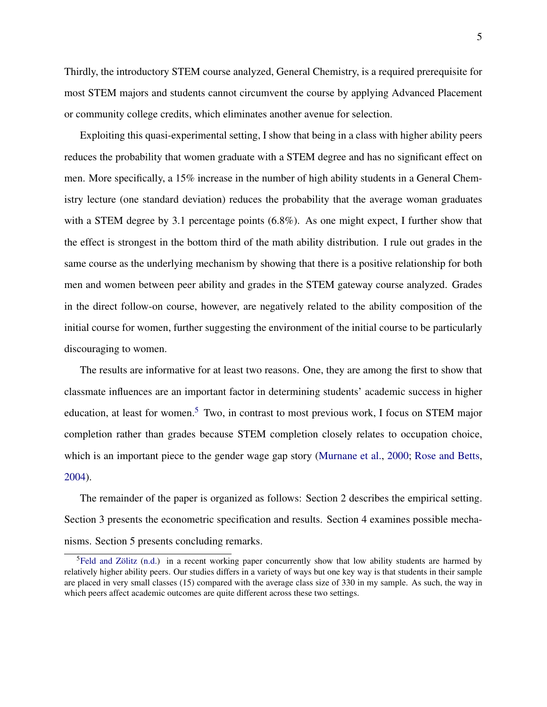5

Thirdly, the introductory STEM course analyzed, General Chemistry, is a required prerequisite for most STEM majors and students cannot circumvent the course by applying Advanced Placement or community college credits, which eliminates another avenue for selection.

Exploiting this quasi-experimental setting, I show that being in a class with higher ability peers reduces the probability that women graduate with a STEM degree and has no significant effect on men. More specifically, a 15% increase in the number of high ability students in a General Chemistry lecture (one standard deviation) reduces the probability that the average woman graduates with a STEM degree by 3.1 percentage points  $(6.8\%)$ . As one might expect, I further show that the effect is strongest in the bottom third of the math ability distribution. I rule out grades in the same course as the underlying mechanism by showing that there is a positive relationship for both men and women between peer ability and grades in the STEM gateway course analyzed. Grades in the direct follow-on course, however, are negatively related to the ability composition of the initial course for women, further suggesting the environment of the initial course to be particularly discouraging to women.

The results are informative for at least two reasons. One, they are among the first to show that classmate influences are an important factor in determining students' academic success in higher education, at least for women.<sup>[5](#page-4-0)</sup> Two, in contrast to most previous work, I focus on STEM major completion rather than grades because STEM completion closely relates to occupation choice, which is an important piece to the gender wage gap story [\(Murnane et al.,](#page-30-4) [2000;](#page-30-4) [Rose and Betts,](#page-30-5) [2004\)](#page-30-5).

The remainder of the paper is organized as follows: Section 2 describes the empirical setting. Section 3 presents the econometric specification and results. Section 4 examines possible mechanisms. Section 5 presents concluding remarks.

<span id="page-4-0"></span><sup>&</sup>lt;sup>5</sup>[Feld and Zölitz](#page-29-8) [\(n.d.\)](#page-29-8) in a recent working paper concurrently show that low ability students are harmed by relatively higher ability peers. Our studies differs in a variety of ways but one key way is that students in their sample are placed in very small classes (15) compared with the average class size of 330 in my sample. As such, the way in which peers affect academic outcomes are quite different across these two settings.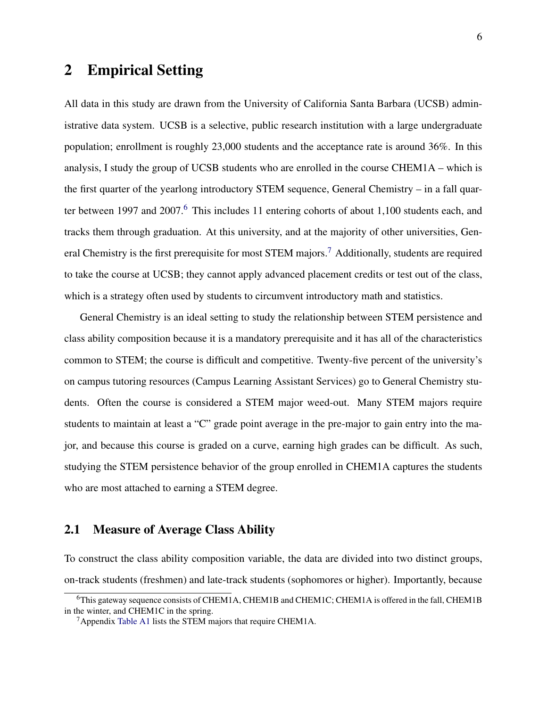# 2 Empirical Setting

All data in this study are drawn from the University of California Santa Barbara (UCSB) administrative data system. UCSB is a selective, public research institution with a large undergraduate population; enrollment is roughly 23,000 students and the acceptance rate is around 36%. In this analysis, I study the group of UCSB students who are enrolled in the course CHEM1A – which is the first quarter of the yearlong introductory STEM sequence, General Chemistry – in a fall quar-ter between 1997 and 2007.<sup>[6](#page-5-0)</sup> This includes 11 entering cohorts of about 1,100 students each, and tracks them through graduation. At this university, and at the majority of other universities, Gen-eral Chemistry is the first prerequisite for most STEM majors.<sup>[7](#page-5-1)</sup> Additionally, students are required to take the course at UCSB; they cannot apply advanced placement credits or test out of the class, which is a strategy often used by students to circumvent introductory math and statistics.

General Chemistry is an ideal setting to study the relationship between STEM persistence and class ability composition because it is a mandatory prerequisite and it has all of the characteristics common to STEM; the course is difficult and competitive. Twenty-five percent of the university's on campus tutoring resources (Campus Learning Assistant Services) go to General Chemistry students. Often the course is considered a STEM major weed-out. Many STEM majors require students to maintain at least a "C" grade point average in the pre-major to gain entry into the major, and because this course is graded on a curve, earning high grades can be difficult. As such, studying the STEM persistence behavior of the group enrolled in CHEM1A captures the students who are most attached to earning a STEM degree.

#### 2.1 Measure of Average Class Ability

To construct the class ability composition variable, the data are divided into two distinct groups, on-track students (freshmen) and late-track students (sophomores or higher). Importantly, because

<span id="page-5-0"></span><sup>6</sup>This gateway sequence consists of CHEM1A, CHEM1B and CHEM1C; CHEM1A is offered in the fall, CHEM1B in the winter, and CHEM1C in the spring.

<span id="page-5-1"></span><sup>7</sup>Appendix [Table A1](#page-44-0) lists the STEM majors that require CHEM1A.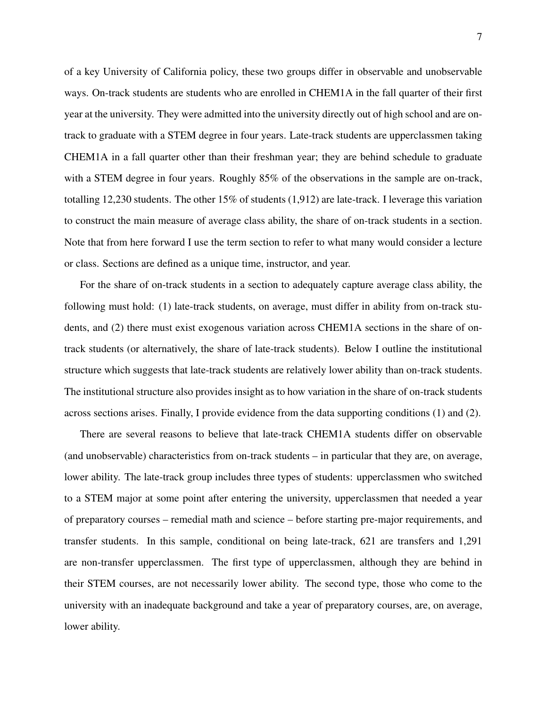of a key University of California policy, these two groups differ in observable and unobservable ways. On-track students are students who are enrolled in CHEM1A in the fall quarter of their first year at the university. They were admitted into the university directly out of high school and are ontrack to graduate with a STEM degree in four years. Late-track students are upperclassmen taking CHEM1A in a fall quarter other than their freshman year; they are behind schedule to graduate with a STEM degree in four years. Roughly 85% of the observations in the sample are on-track, totalling 12,230 students. The other 15% of students (1,912) are late-track. I leverage this variation to construct the main measure of average class ability, the share of on-track students in a section. Note that from here forward I use the term section to refer to what many would consider a lecture or class. Sections are defined as a unique time, instructor, and year.

For the share of on-track students in a section to adequately capture average class ability, the following must hold: (1) late-track students, on average, must differ in ability from on-track students, and (2) there must exist exogenous variation across CHEM1A sections in the share of ontrack students (or alternatively, the share of late-track students). Below I outline the institutional structure which suggests that late-track students are relatively lower ability than on-track students. The institutional structure also provides insight as to how variation in the share of on-track students across sections arises. Finally, I provide evidence from the data supporting conditions (1) and (2).

There are several reasons to believe that late-track CHEM1A students differ on observable (and unobservable) characteristics from on-track students – in particular that they are, on average, lower ability. The late-track group includes three types of students: upperclassmen who switched to a STEM major at some point after entering the university, upperclassmen that needed a year of preparatory courses – remedial math and science – before starting pre-major requirements, and transfer students. In this sample, conditional on being late-track, 621 are transfers and 1,291 are non-transfer upperclassmen. The first type of upperclassmen, although they are behind in their STEM courses, are not necessarily lower ability. The second type, those who come to the university with an inadequate background and take a year of preparatory courses, are, on average, lower ability.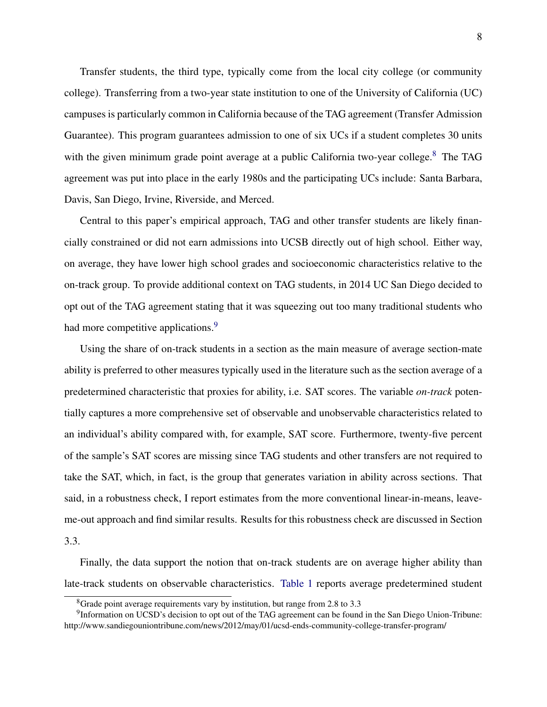Transfer students, the third type, typically come from the local city college (or community college). Transferring from a two-year state institution to one of the University of California (UC) campuses is particularly common in California because of the TAG agreement (Transfer Admission Guarantee). This program guarantees admission to one of six UCs if a student completes 30 units with the given minimum grade point average at a public California two-year college.<sup>[8](#page-7-0)</sup> The TAG agreement was put into place in the early 1980s and the participating UCs include: Santa Barbara, Davis, San Diego, Irvine, Riverside, and Merced.

Central to this paper's empirical approach, TAG and other transfer students are likely financially constrained or did not earn admissions into UCSB directly out of high school. Either way, on average, they have lower high school grades and socioeconomic characteristics relative to the on-track group. To provide additional context on TAG students, in 2014 UC San Diego decided to opt out of the TAG agreement stating that it was squeezing out too many traditional students who had more competitive applications.<sup>[9](#page-7-1)</sup>

Using the share of on-track students in a section as the main measure of average section-mate ability is preferred to other measures typically used in the literature such as the section average of a predetermined characteristic that proxies for ability, i.e. SAT scores. The variable *on-track* potentially captures a more comprehensive set of observable and unobservable characteristics related to an individual's ability compared with, for example, SAT score. Furthermore, twenty-five percent of the sample's SAT scores are missing since TAG students and other transfers are not required to take the SAT, which, in fact, is the group that generates variation in ability across sections. That said, in a robustness check, I report estimates from the more conventional linear-in-means, leaveme-out approach and find similar results. Results for this robustness check are discussed in Section 3.3.

Finally, the data support the notion that on-track students are on average higher ability than late-track students on observable characteristics. [Table 1](#page-32-0) reports average predetermined student

<span id="page-7-1"></span><span id="page-7-0"></span><sup>8</sup>Grade point average requirements vary by institution, but range from 2.8 to 3.3

<sup>&</sup>lt;sup>9</sup>Information on UCSD's decision to opt out of the TAG agreement can be found in the San Diego Union-Tribune: http://www.sandiegouniontribune.com/news/2012/may/01/ucsd-ends-community-college-transfer-program/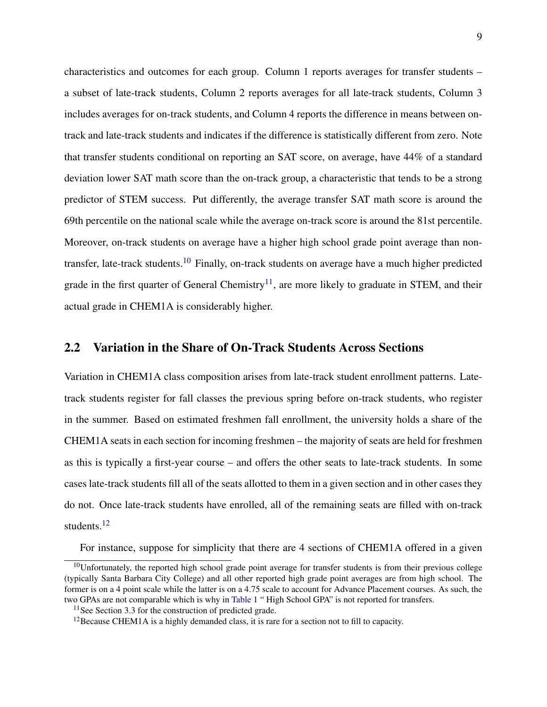characteristics and outcomes for each group. Column 1 reports averages for transfer students – a subset of late-track students, Column 2 reports averages for all late-track students, Column 3 includes averages for on-track students, and Column 4 reports the difference in means between ontrack and late-track students and indicates if the difference is statistically different from zero. Note that transfer students conditional on reporting an SAT score, on average, have 44% of a standard deviation lower SAT math score than the on-track group, a characteristic that tends to be a strong predictor of STEM success. Put differently, the average transfer SAT math score is around the 69th percentile on the national scale while the average on-track score is around the 81st percentile. Moreover, on-track students on average have a higher high school grade point average than non-transfer, late-track students.<sup>[10](#page-8-0)</sup> Finally, on-track students on average have a much higher predicted grade in the first quarter of General Chemistry<sup>[11](#page-8-1)</sup>, are more likely to graduate in STEM, and their actual grade in CHEM1A is considerably higher.

### 2.2 Variation in the Share of On-Track Students Across Sections

Variation in CHEM1A class composition arises from late-track student enrollment patterns. Latetrack students register for fall classes the previous spring before on-track students, who register in the summer. Based on estimated freshmen fall enrollment, the university holds a share of the CHEM1A seats in each section for incoming freshmen – the majority of seats are held for freshmen as this is typically a first-year course – and offers the other seats to late-track students. In some cases late-track students fill all of the seats allotted to them in a given section and in other cases they do not. Once late-track students have enrolled, all of the remaining seats are filled with on-track students.[12](#page-8-2)

<span id="page-8-0"></span>For instance, suppose for simplicity that there are 4 sections of CHEM1A offered in a given

 $10$ Unfortunately, the reported high school grade point average for transfer students is from their previous college (typically Santa Barbara City College) and all other reported high grade point averages are from high school. The former is on a 4 point scale while the latter is on a 4.75 scale to account for Advance Placement courses. As such, the two GPAs are not comparable which is why in [Table 1](#page-32-0) " High School GPA" is not reported for transfers.

<span id="page-8-1"></span> $11$  See Section 3.3 for the construction of predicted grade.

<span id="page-8-2"></span><sup>&</sup>lt;sup>12</sup>Because CHEM1A is a highly demanded class, it is rare for a section not to fill to capacity.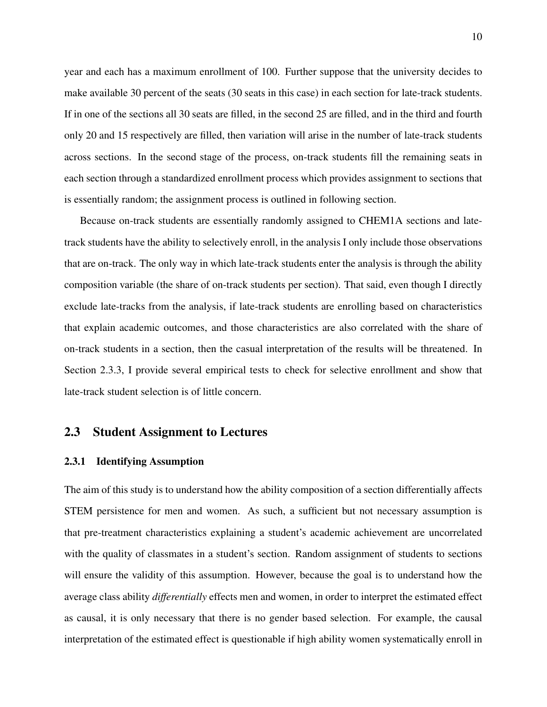year and each has a maximum enrollment of 100. Further suppose that the university decides to make available 30 percent of the seats (30 seats in this case) in each section for late-track students. If in one of the sections all 30 seats are filled, in the second 25 are filled, and in the third and fourth only 20 and 15 respectively are filled, then variation will arise in the number of late-track students across sections. In the second stage of the process, on-track students fill the remaining seats in each section through a standardized enrollment process which provides assignment to sections that is essentially random; the assignment process is outlined in following section.

Because on-track students are essentially randomly assigned to CHEM1A sections and latetrack students have the ability to selectively enroll, in the analysis I only include those observations that are on-track. The only way in which late-track students enter the analysis is through the ability composition variable (the share of on-track students per section). That said, even though I directly exclude late-tracks from the analysis, if late-track students are enrolling based on characteristics that explain academic outcomes, and those characteristics are also correlated with the share of on-track students in a section, then the casual interpretation of the results will be threatened. In Section 2.3.3, I provide several empirical tests to check for selective enrollment and show that late-track student selection is of little concern.

### 2.3 Student Assignment to Lectures

#### 2.3.1 Identifying Assumption

The aim of this study is to understand how the ability composition of a section differentially affects STEM persistence for men and women. As such, a sufficient but not necessary assumption is that pre-treatment characteristics explaining a student's academic achievement are uncorrelated with the quality of classmates in a student's section. Random assignment of students to sections will ensure the validity of this assumption. However, because the goal is to understand how the average class ability *differentially* effects men and women, in order to interpret the estimated effect as causal, it is only necessary that there is no gender based selection. For example, the causal interpretation of the estimated effect is questionable if high ability women systematically enroll in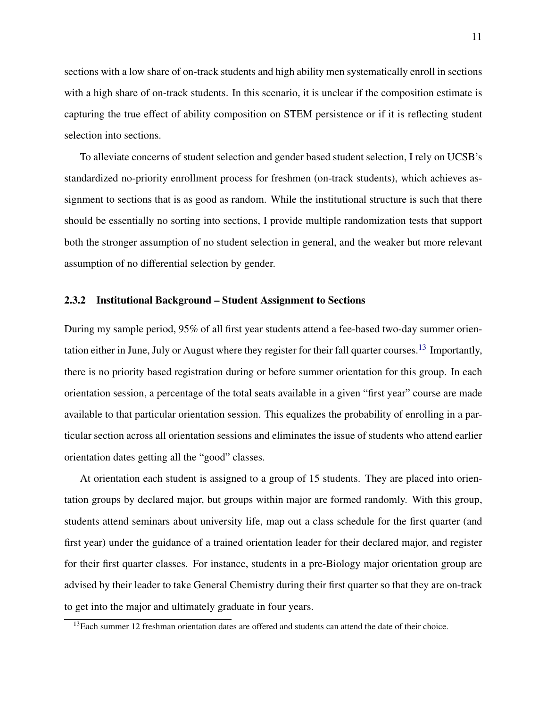sections with a low share of on-track students and high ability men systematically enroll in sections with a high share of on-track students. In this scenario, it is unclear if the composition estimate is capturing the true effect of ability composition on STEM persistence or if it is reflecting student selection into sections.

To alleviate concerns of student selection and gender based student selection, I rely on UCSB's standardized no-priority enrollment process for freshmen (on-track students), which achieves assignment to sections that is as good as random. While the institutional structure is such that there should be essentially no sorting into sections, I provide multiple randomization tests that support both the stronger assumption of no student selection in general, and the weaker but more relevant assumption of no differential selection by gender.

#### 2.3.2 Institutional Background – Student Assignment to Sections

During my sample period, 95% of all first year students attend a fee-based two-day summer orien-tation either in June, July or August where they register for their fall quarter courses.<sup>[13](#page-10-0)</sup> Importantly, there is no priority based registration during or before summer orientation for this group. In each orientation session, a percentage of the total seats available in a given "first year" course are made available to that particular orientation session. This equalizes the probability of enrolling in a particular section across all orientation sessions and eliminates the issue of students who attend earlier orientation dates getting all the "good" classes.

At orientation each student is assigned to a group of 15 students. They are placed into orientation groups by declared major, but groups within major are formed randomly. With this group, students attend seminars about university life, map out a class schedule for the first quarter (and first year) under the guidance of a trained orientation leader for their declared major, and register for their first quarter classes. For instance, students in a pre-Biology major orientation group are advised by their leader to take General Chemistry during their first quarter so that they are on-track to get into the major and ultimately graduate in four years.

<span id="page-10-0"></span> $13$  Each summer 12 freshman orientation dates are offered and students can attend the date of their choice.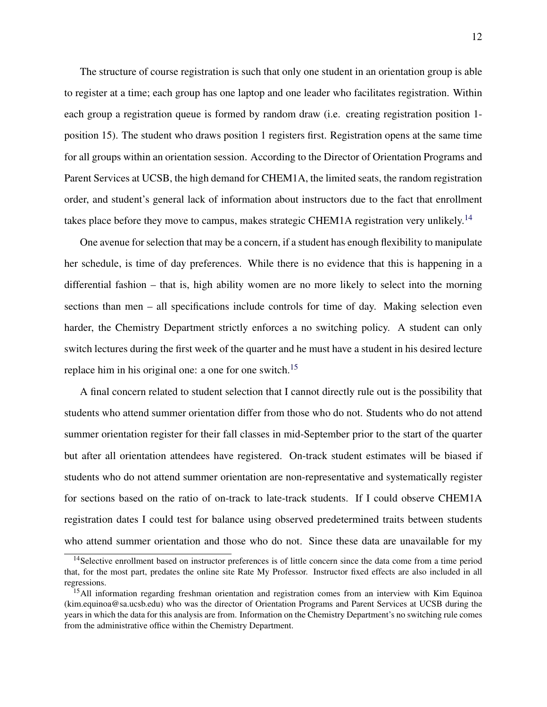The structure of course registration is such that only one student in an orientation group is able to register at a time; each group has one laptop and one leader who facilitates registration. Within each group a registration queue is formed by random draw (i.e. creating registration position 1 position 15). The student who draws position 1 registers first. Registration opens at the same time for all groups within an orientation session. According to the Director of Orientation Programs and Parent Services at UCSB, the high demand for CHEM1A, the limited seats, the random registration order, and student's general lack of information about instructors due to the fact that enrollment takes place before they move to campus, makes strategic CHEM1A registration very unlikely.<sup>[14](#page-11-0)</sup>

One avenue for selection that may be a concern, if a student has enough flexibility to manipulate her schedule, is time of day preferences. While there is no evidence that this is happening in a differential fashion – that is, high ability women are no more likely to select into the morning sections than men – all specifications include controls for time of day. Making selection even harder, the Chemistry Department strictly enforces a no switching policy. A student can only switch lectures during the first week of the quarter and he must have a student in his desired lecture replace him in his original one: a one for one switch.<sup>[15](#page-11-1)</sup>

A final concern related to student selection that I cannot directly rule out is the possibility that students who attend summer orientation differ from those who do not. Students who do not attend summer orientation register for their fall classes in mid-September prior to the start of the quarter but after all orientation attendees have registered. On-track student estimates will be biased if students who do not attend summer orientation are non-representative and systematically register for sections based on the ratio of on-track to late-track students. If I could observe CHEM1A registration dates I could test for balance using observed predetermined traits between students who attend summer orientation and those who do not. Since these data are unavailable for my

<span id="page-11-0"></span><sup>&</sup>lt;sup>14</sup>Selective enrollment based on instructor preferences is of little concern since the data come from a time period that, for the most part, predates the online site Rate My Professor. Instructor fixed effects are also included in all regressions.

<span id="page-11-1"></span><sup>&</sup>lt;sup>15</sup>All information regarding freshman orientation and registration comes from an interview with Kim Equinoa (kim.equinoa@sa.ucsb.edu) who was the director of Orientation Programs and Parent Services at UCSB during the years in which the data for this analysis are from. Information on the Chemistry Department's no switching rule comes from the administrative office within the Chemistry Department.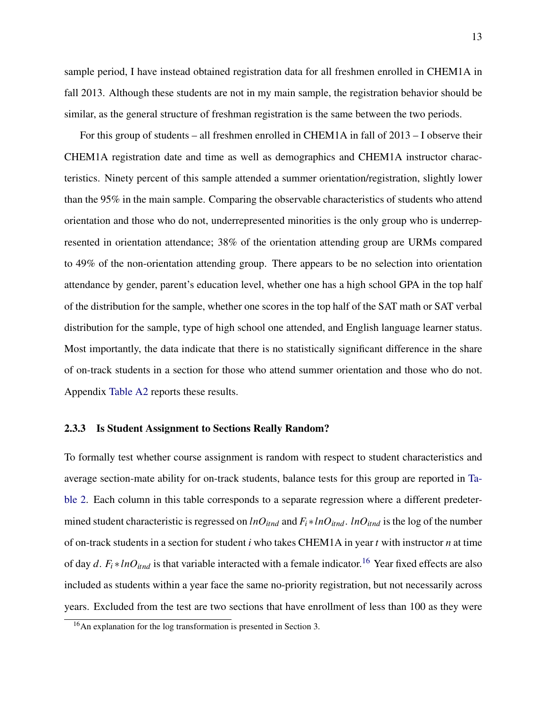sample period, I have instead obtained registration data for all freshmen enrolled in CHEM1A in fall 2013. Although these students are not in my main sample, the registration behavior should be similar, as the general structure of freshman registration is the same between the two periods.

For this group of students – all freshmen enrolled in CHEM1A in fall of 2013 – I observe their CHEM1A registration date and time as well as demographics and CHEM1A instructor characteristics. Ninety percent of this sample attended a summer orientation/registration, slightly lower than the 95% in the main sample. Comparing the observable characteristics of students who attend orientation and those who do not, underrepresented minorities is the only group who is underrepresented in orientation attendance; 38% of the orientation attending group are URMs compared to 49% of the non-orientation attending group. There appears to be no selection into orientation attendance by gender, parent's education level, whether one has a high school GPA in the top half of the distribution for the sample, whether one scores in the top half of the SAT math or SAT verbal distribution for the sample, type of high school one attended, and English language learner status. Most importantly, the data indicate that there is no statistically significant difference in the share of on-track students in a section for those who attend summer orientation and those who do not. Appendix [Table A2](#page-45-0) reports these results.

#### 2.3.3 Is Student Assignment to Sections Really Random?

To formally test whether course assignment is random with respect to student characteristics and average section-mate ability for on-track students, balance tests for this group are reported in [Ta](#page-33-0)[ble 2.](#page-33-0) Each column in this table corresponds to a separate regression where a different predetermined student characteristic is regressed on  $lnO_{itnd}$  and  $F_i * lnO_{itnd}$ .  $lnO_{itnd}$  is the log of the number of on-track students in a section for student *i* who takes CHEM1A in year *t* with instructor *n* at time of day *d*.  $F_i * lnO_{itnd}$  is that variable interacted with a female indicator.<sup>[16](#page-12-0)</sup> Year fixed effects are also included as students within a year face the same no-priority registration, but not necessarily across years. Excluded from the test are two sections that have enrollment of less than 100 as they were

<span id="page-12-0"></span><sup>&</sup>lt;sup>16</sup>An explanation for the log transformation is presented in Section 3.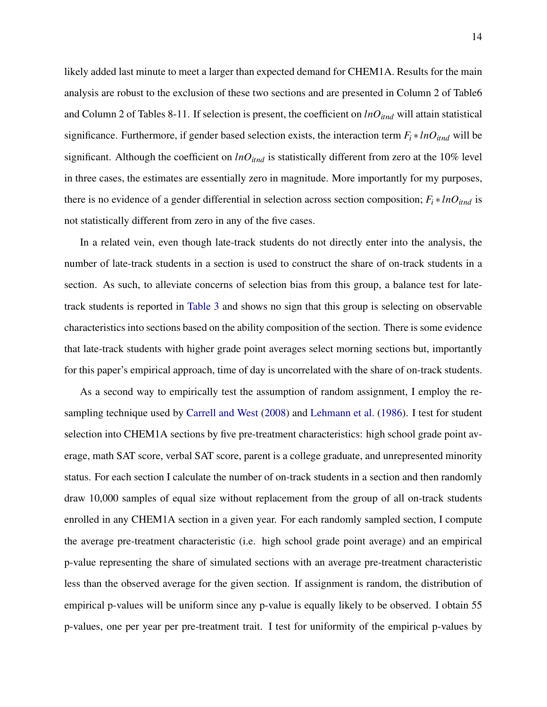likely added last minute to meet a larger than expected demand for CHEM1A. Results for the main analysis are robust to the exclusion of these two sections and are presented in Column 2 of Table6 and Column 2 of Tables 8-11. If selection is present, the coefficient on *lnOitnd* will attain statistical significance. Furthermore, if gender based selection exists, the interaction term  $F_i * lnQ_{itnd}$  will be significant. Although the coefficient on  $lnO<sub>itnd</sub>$  is statistically different from zero at the 10% level in three cases, the estimates are essentially zero in magnitude. More importantly for my purposes, there is no evidence of a gender differential in selection across section composition;  $F_i * lnO_{itnd}$  is not statistically different from zero in any of the five cases.

In a related vein, even though late-track students do not directly enter into the analysis, the number of late-track students in a section is used to construct the share of on-track students in a section. As such, to alleviate concerns of selection bias from this group, a balance test for latetrack students is reported in [Table 3](#page-34-0) and shows no sign that this group is selecting on observable characteristics into sections based on the ability composition of the section. There is some evidence that late-track students with higher grade point averages select morning sections but, importantly for this paper's empirical approach, time of day is uncorrelated with the share of on-track students.

As a second way to empirically test the assumption of random assignment, I employ the resampling technique used by [Carrell and West](#page-28-6) [\(2008\)](#page-28-6) and [Lehmann et al.](#page-30-8) [\(1986\)](#page-30-8). I test for student selection into CHEM1A sections by five pre-treatment characteristics: high school grade point average, math SAT score, verbal SAT score, parent is a college graduate, and unrepresented minority status. For each section I calculate the number of on-track students in a section and then randomly draw 10,000 samples of equal size without replacement from the group of all on-track students enrolled in any CHEM1A section in a given year. For each randomly sampled section, I compute the average pre-treatment characteristic (i.e. high school grade point average) and an empirical p-value representing the share of simulated sections with an average pre-treatment characteristic less than the observed average for the given section. If assignment is random, the distribution of empirical p-values will be uniform since any p-value is equally likely to be observed. I obtain 55 p-values, one per year per pre-treatment trait. I test for uniformity of the empirical p-values by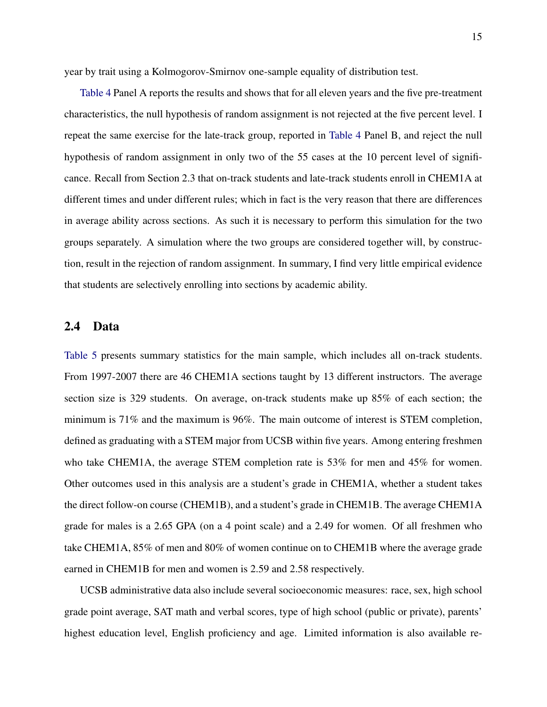year by trait using a Kolmogorov-Smirnov one-sample equality of distribution test.

[Table 4](#page-35-0) Panel A reports the results and shows that for all eleven years and the five pre-treatment characteristics, the null hypothesis of random assignment is not rejected at the five percent level. I repeat the same exercise for the late-track group, reported in [Table 4](#page-35-0) Panel B, and reject the null hypothesis of random assignment in only two of the 55 cases at the 10 percent level of significance. Recall from Section 2.3 that on-track students and late-track students enroll in CHEM1A at different times and under different rules; which in fact is the very reason that there are differences in average ability across sections. As such it is necessary to perform this simulation for the two groups separately. A simulation where the two groups are considered together will, by construction, result in the rejection of random assignment. In summary, I find very little empirical evidence that students are selectively enrolling into sections by academic ability.

### 2.4 Data

[Table 5](#page-36-0) presents summary statistics for the main sample, which includes all on-track students. From 1997-2007 there are 46 CHEM1A sections taught by 13 different instructors. The average section size is 329 students. On average, on-track students make up 85% of each section; the minimum is 71% and the maximum is 96%. The main outcome of interest is STEM completion, defined as graduating with a STEM major from UCSB within five years. Among entering freshmen who take CHEM1A, the average STEM completion rate is 53% for men and 45% for women. Other outcomes used in this analysis are a student's grade in CHEM1A, whether a student takes the direct follow-on course (CHEM1B), and a student's grade in CHEM1B. The average CHEM1A grade for males is a 2.65 GPA (on a 4 point scale) and a 2.49 for women. Of all freshmen who take CHEM1A, 85% of men and 80% of women continue on to CHEM1B where the average grade earned in CHEM1B for men and women is 2.59 and 2.58 respectively.

UCSB administrative data also include several socioeconomic measures: race, sex, high school grade point average, SAT math and verbal scores, type of high school (public or private), parents' highest education level, English proficiency and age. Limited information is also available re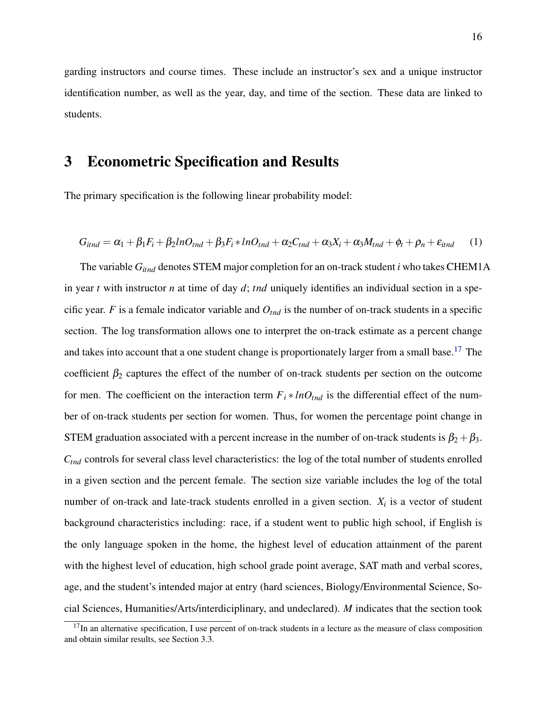garding instructors and course times. These include an instructor's sex and a unique instructor identification number, as well as the year, day, and time of the section. These data are linked to students.

### 3 Econometric Specification and Results

The primary specification is the following linear probability model:

$$
G_{itnd} = \alpha_1 + \beta_1 F_i + \beta_2 ln O_{tnd} + \beta_3 F_i * ln O_{tnd} + \alpha_2 C_{tnd} + \alpha_3 X_i + \alpha_3 M_{tnd} + \phi_t + \rho_n + \varepsilon_{itnd} \tag{1}
$$

The variable *Gitnd* denotes STEM major completion for an on-track student *i* who takes CHEM1A in year *t* with instructor *n* at time of day *d*; *tnd* uniquely identifies an individual section in a specific year. *F* is a female indicator variable and  $O_{tnd}$  is the number of on-track students in a specific section. The log transformation allows one to interpret the on-track estimate as a percent change and takes into account that a one student change is proportionately larger from a small base.<sup>[17](#page-15-0)</sup> The coefficient  $\beta_2$  captures the effect of the number of on-track students per section on the outcome for men. The coefficient on the interaction term  $F_i * lnO_{tnd}$  is the differential effect of the number of on-track students per section for women. Thus, for women the percentage point change in STEM graduation associated with a percent increase in the number of on-track students is  $\beta_2 + \beta_3$ . *Ctnd* controls for several class level characteristics: the log of the total number of students enrolled in a given section and the percent female. The section size variable includes the log of the total number of on-track and late-track students enrolled in a given section.  $X_i$  is a vector of student background characteristics including: race, if a student went to public high school, if English is the only language spoken in the home, the highest level of education attainment of the parent with the highest level of education, high school grade point average, SAT math and verbal scores, age, and the student's intended major at entry (hard sciences, Biology/Environmental Science, Social Sciences, Humanities/Arts/interdiciplinary, and undeclared). *M* indicates that the section took

<span id="page-15-0"></span> $17$ In an alternative specification, I use percent of on-track students in a lecture as the measure of class composition and obtain similar results, see Section 3.3.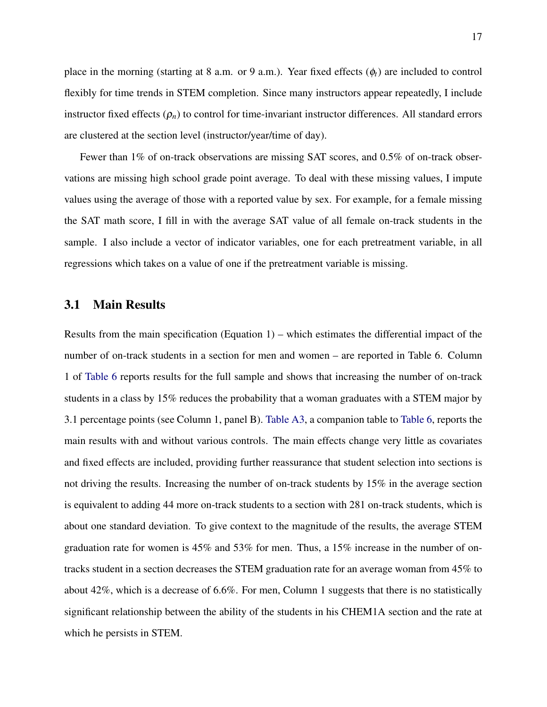place in the morning (starting at 8 a.m. or 9 a.m.). Year fixed effects (φ*t*) are included to control flexibly for time trends in STEM completion. Since many instructors appear repeatedly, I include instructor fixed effects  $(\rho_n)$  to control for time-invariant instructor differences. All standard errors are clustered at the section level (instructor/year/time of day).

Fewer than 1% of on-track observations are missing SAT scores, and 0.5% of on-track observations are missing high school grade point average. To deal with these missing values, I impute values using the average of those with a reported value by sex. For example, for a female missing the SAT math score, I fill in with the average SAT value of all female on-track students in the sample. I also include a vector of indicator variables, one for each pretreatment variable, in all regressions which takes on a value of one if the pretreatment variable is missing.

### 3.1 Main Results

Results from the main specification (Equation 1) – which estimates the differential impact of the number of on-track students in a section for men and women – are reported in Table 6. Column 1 of [Table 6](#page-37-0) reports results for the full sample and shows that increasing the number of on-track students in a class by 15% reduces the probability that a woman graduates with a STEM major by 3.1 percentage points (see Column 1, panel B). [Table A3,](#page-46-0) a companion table to [Table 6,](#page-37-0) reports the main results with and without various controls. The main effects change very little as covariates and fixed effects are included, providing further reassurance that student selection into sections is not driving the results. Increasing the number of on-track students by 15% in the average section is equivalent to adding 44 more on-track students to a section with 281 on-track students, which is about one standard deviation. To give context to the magnitude of the results, the average STEM graduation rate for women is 45% and 53% for men. Thus, a 15% increase in the number of ontracks student in a section decreases the STEM graduation rate for an average woman from 45% to about 42%, which is a decrease of 6.6%. For men, Column 1 suggests that there is no statistically significant relationship between the ability of the students in his CHEM1A section and the rate at which he persists in STEM.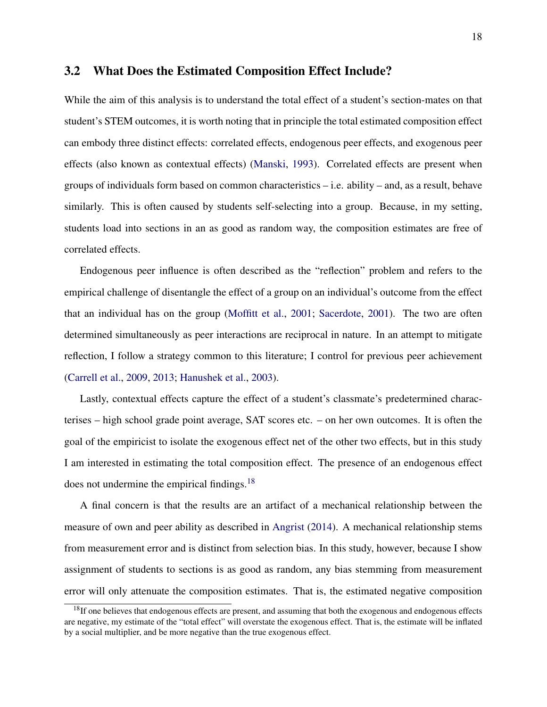### 3.2 What Does the Estimated Composition Effect Include?

While the aim of this analysis is to understand the total effect of a student's section-mates on that student's STEM outcomes, it is worth noting that in principle the total estimated composition effect can embody three distinct effects: correlated effects, endogenous peer effects, and exogenous peer effects (also known as contextual effects) [\(Manski,](#page-30-9) [1993\)](#page-30-9). Correlated effects are present when groups of individuals form based on common characteristics – i.e. ability – and, as a result, behave similarly. This is often caused by students self-selecting into a group. Because, in my setting, students load into sections in an as good as random way, the composition estimates are free of correlated effects.

Endogenous peer influence is often described as the "reflection" problem and refers to the empirical challenge of disentangle the effect of a group on an individual's outcome from the effect that an individual has on the group [\(Moffitt et al.,](#page-30-10) [2001;](#page-30-10) [Sacerdote,](#page-31-5) [2001\)](#page-31-5). The two are often determined simultaneously as peer interactions are reciprocal in nature. In an attempt to mitigate reflection, I follow a strategy common to this literature; I control for previous peer achievement [\(Carrell et al.,](#page-28-4) [2009,](#page-28-4) [2013;](#page-28-5) [Hanushek et al.,](#page-29-5) [2003\)](#page-29-5).

Lastly, contextual effects capture the effect of a student's classmate's predetermined characterises – high school grade point average, SAT scores etc. – on her own outcomes. It is often the goal of the empiricist to isolate the exogenous effect net of the other two effects, but in this study I am interested in estimating the total composition effect. The presence of an endogenous effect does not undermine the empirical findings.<sup>[18](#page-17-0)</sup>

A final concern is that the results are an artifact of a mechanical relationship between the measure of own and peer ability as described in [Angrist](#page-28-7) [\(2014\)](#page-28-7). A mechanical relationship stems from measurement error and is distinct from selection bias. In this study, however, because I show assignment of students to sections is as good as random, any bias stemming from measurement error will only attenuate the composition estimates. That is, the estimated negative composition

<span id="page-17-0"></span> $18$ If one believes that endogenous effects are present, and assuming that both the exogenous and endogenous effects are negative, my estimate of the "total effect" will overstate the exogenous effect. That is, the estimate will be inflated by a social multiplier, and be more negative than the true exogenous effect.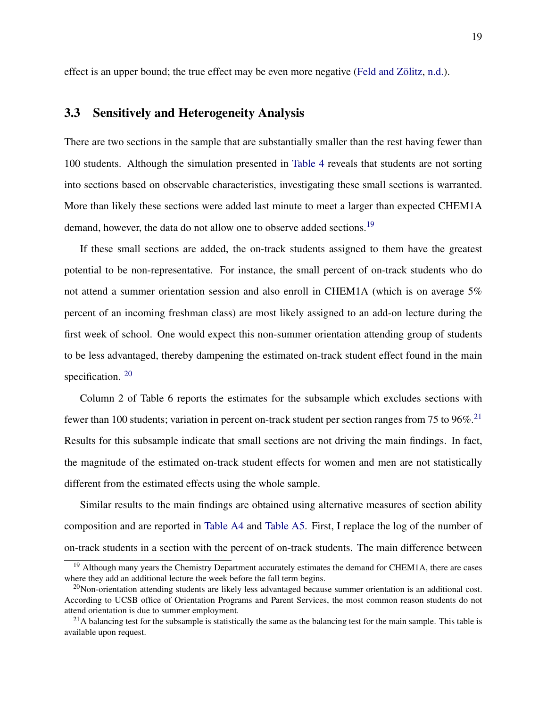effect is an upper bound; the true effect may be even more negative [\(Feld and Zölitz,](#page-29-8) [n.d.\)](#page-29-8).

### 3.3 Sensitively and Heterogeneity Analysis

There are two sections in the sample that are substantially smaller than the rest having fewer than 100 students. Although the simulation presented in [Table 4](#page-35-0) reveals that students are not sorting into sections based on observable characteristics, investigating these small sections is warranted. More than likely these sections were added last minute to meet a larger than expected CHEM1A demand, however, the data do not allow one to observe added sections.<sup>[19](#page-18-0)</sup>

If these small sections are added, the on-track students assigned to them have the greatest potential to be non-representative. For instance, the small percent of on-track students who do not attend a summer orientation session and also enroll in CHEM1A (which is on average 5% percent of an incoming freshman class) are most likely assigned to an add-on lecture during the first week of school. One would expect this non-summer orientation attending group of students to be less advantaged, thereby dampening the estimated on-track student effect found in the main specification.<sup>[20](#page-18-1)</sup>

Column 2 of Table 6 reports the estimates for the subsample which excludes sections with fewer than 100 students; variation in percent on-track student per section ranges from 75 to 96%.<sup>[21](#page-18-2)</sup> Results for this subsample indicate that small sections are not driving the main findings. In fact, the magnitude of the estimated on-track student effects for women and men are not statistically different from the estimated effects using the whole sample.

Similar results to the main findings are obtained using alternative measures of section ability composition and are reported in [Table A4](#page-47-0) and [Table A5.](#page-48-0) First, I replace the log of the number of on-track students in a section with the percent of on-track students. The main difference between

<span id="page-18-0"></span><sup>&</sup>lt;sup>19</sup> Although many years the Chemistry Department accurately estimates the demand for CHEM1A, there are cases where they add an additional lecture the week before the fall term begins.

<span id="page-18-1"></span> $^{20}$ Non-orientation attending students are likely less advantaged because summer orientation is an additional cost. According to UCSB office of Orientation Programs and Parent Services, the most common reason students do not attend orientation is due to summer employment.

<span id="page-18-2"></span><sup>&</sup>lt;sup>21</sup>A balancing test for the subsample is statistically the same as the balancing test for the main sample. This table is available upon request.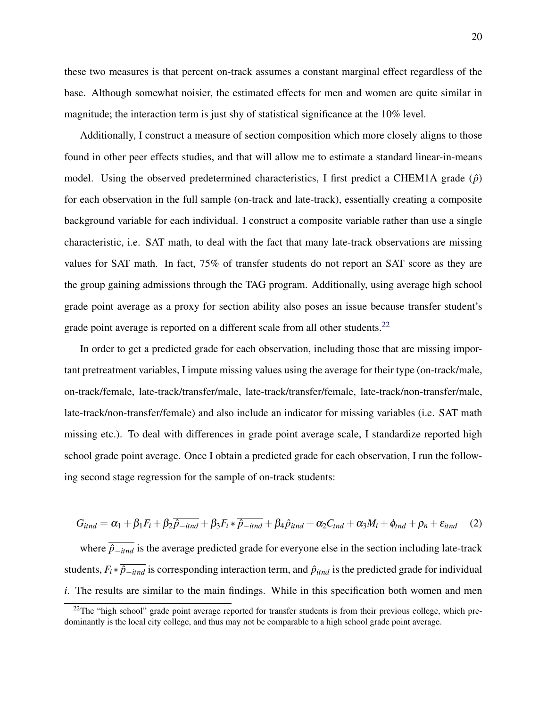these two measures is that percent on-track assumes a constant marginal effect regardless of the base. Although somewhat noisier, the estimated effects for men and women are quite similar in magnitude; the interaction term is just shy of statistical significance at the 10% level.

Additionally, I construct a measure of section composition which more closely aligns to those found in other peer effects studies, and that will allow me to estimate a standard linear-in-means model. Using the observed predetermined characteristics, I first predict a CHEM1A grade  $(\hat{p})$ for each observation in the full sample (on-track and late-track), essentially creating a composite background variable for each individual. I construct a composite variable rather than use a single characteristic, i.e. SAT math, to deal with the fact that many late-track observations are missing values for SAT math. In fact, 75% of transfer students do not report an SAT score as they are the group gaining admissions through the TAG program. Additionally, using average high school grade point average as a proxy for section ability also poses an issue because transfer student's grade point average is reported on a different scale from all other students.<sup>[22](#page-19-0)</sup>

In order to get a predicted grade for each observation, including those that are missing important pretreatment variables, I impute missing values using the average for their type (on-track/male, on-track/female, late-track/transfer/male, late-track/transfer/female, late-track/non-transfer/male, late-track/non-transfer/female) and also include an indicator for missing variables (i.e. SAT math missing etc.). To deal with differences in grade point average scale, I standardize reported high school grade point average. Once I obtain a predicted grade for each observation, I run the following second stage regression for the sample of on-track students:

$$
G_{itnd} = \alpha_1 + \beta_1 F_i + \beta_2 \overline{\hat{p}_{-itnd}} + \beta_3 F_i \ast \overline{\hat{p}_{-itnd}} + \beta_4 \hat{p}_{itnd} + \alpha_2 C_{tnd} + \alpha_3 M_i + \phi_{tnd} + \rho_n + \varepsilon_{itnd} \quad (2)
$$

where  $\overline{\hat{p}_{-itnd}}$  is the average predicted grade for everyone else in the section including late-track students,  $F_i * \overline{\hat{p}_{-itnd}}$  is corresponding interaction term, and  $\hat{p}_{itnd}$  is the predicted grade for individual *i*. The results are similar to the main findings. While in this specification both women and men

<span id="page-19-0"></span> $^{22}$ The "high school" grade point average reported for transfer students is from their previous college, which predominantly is the local city college, and thus may not be comparable to a high school grade point average.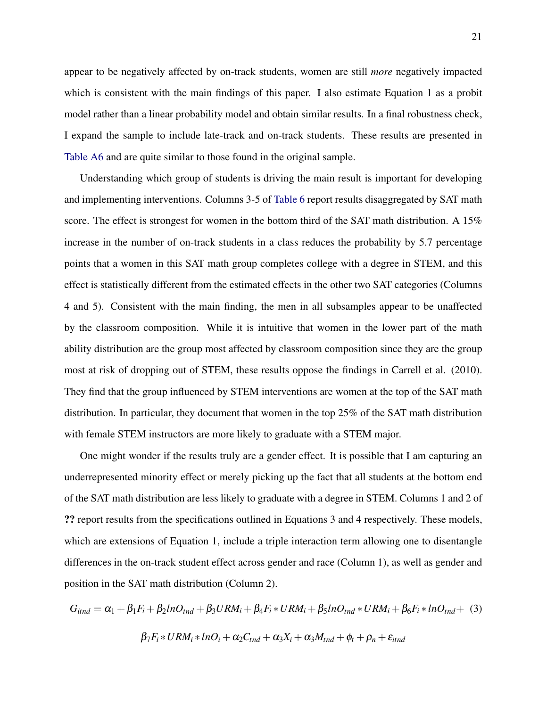appear to be negatively affected by on-track students, women are still *more* negatively impacted which is consistent with the main findings of this paper. I also estimate Equation 1 as a probit model rather than a linear probability model and obtain similar results. In a final robustness check, I expand the sample to include late-track and on-track students. These results are presented in [Table A6](#page-49-0) and are quite similar to those found in the original sample.

Understanding which group of students is driving the main result is important for developing and implementing interventions. Columns 3-5 of [Table 6](#page-37-0) report results disaggregated by SAT math score. The effect is strongest for women in the bottom third of the SAT math distribution. A 15% increase in the number of on-track students in a class reduces the probability by 5.7 percentage points that a women in this SAT math group completes college with a degree in STEM, and this effect is statistically different from the estimated effects in the other two SAT categories (Columns 4 and 5). Consistent with the main finding, the men in all subsamples appear to be unaffected by the classroom composition. While it is intuitive that women in the lower part of the math ability distribution are the group most affected by classroom composition since they are the group most at risk of dropping out of STEM, these results oppose the findings in Carrell et al. (2010). They find that the group influenced by STEM interventions are women at the top of the SAT math distribution. In particular, they document that women in the top 25% of the SAT math distribution with female STEM instructors are more likely to graduate with a STEM major.

One might wonder if the results truly are a gender effect. It is possible that I am capturing an underrepresented minority effect or merely picking up the fact that all students at the bottom end of the SAT math distribution are less likely to graduate with a degree in STEM. Columns 1 and 2 of ?? report results from the specifications outlined in Equations 3 and 4 respectively. These models, which are extensions of Equation 1, include a triple interaction term allowing one to disentangle differences in the on-track student effect across gender and race (Column 1), as well as gender and position in the SAT math distribution (Column 2).

$$
G_{itnd} = \alpha_1 + \beta_1 F_i + \beta_2 ln O_{tnd} + \beta_3 URM_i + \beta_4 F_i * URM_i + \beta_5 ln O_{tnd} * URM_i + \beta_6 F_i * ln O_{tnd} + (3)
$$

$$
\beta_7 F_i * URM_i * ln O_i + \alpha_2 C_{tnd} + \alpha_3 X_i + \alpha_3 M_{tnd} + \phi_t + \rho_n + \varepsilon_{itnd}
$$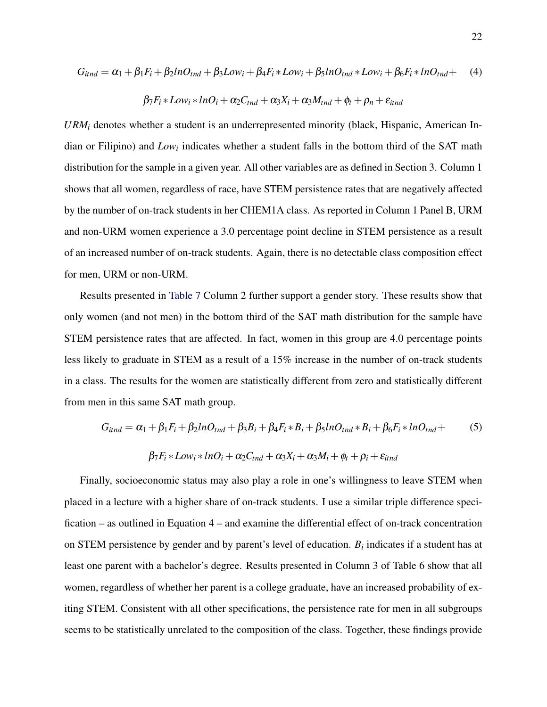$$
G_{itnd} = \alpha_1 + \beta_1 F_i + \beta_2 ln O_{tnd} + \beta_3 Low_i + \beta_4 F_i * Low_i + \beta_5 ln O_{tnd} * Low_i + \beta_6 F_i * ln O_{tnd} +
$$
 (4)

$$
\beta_7 F_i * Low_i * lnO_i + \alpha_2 C_{tnd} + \alpha_3 X_i + \alpha_3 M_{tnd} + \phi_t + \rho_n + \varepsilon_{itnd}
$$

*URM<sup>i</sup>* denotes whether a student is an underrepresented minority (black, Hispanic, American Indian or Filipino) and *Low<sub>i</sub>* indicates whether a student falls in the bottom third of the SAT math distribution for the sample in a given year. All other variables are as defined in Section 3. Column 1 shows that all women, regardless of race, have STEM persistence rates that are negatively affected by the number of on-track students in her CHEM1A class. As reported in Column 1 Panel B, URM and non-URM women experience a 3.0 percentage point decline in STEM persistence as a result of an increased number of on-track students. Again, there is no detectable class composition effect for men, URM or non-URM.

Results presented in [Table 7](#page-38-0) Column 2 further support a gender story. These results show that only women (and not men) in the bottom third of the SAT math distribution for the sample have STEM persistence rates that are affected. In fact, women in this group are 4.0 percentage points less likely to graduate in STEM as a result of a 15% increase in the number of on-track students in a class. The results for the women are statistically different from zero and statistically different from men in this same SAT math group.

$$
G_{itnd} = \alpha_1 + \beta_1 F_i + \beta_2 ln O_{tnd} + \beta_3 B_i + \beta_4 F_i * B_i + \beta_5 ln O_{tnd} * B_i + \beta_6 F_i * ln O_{tnd} +
$$
  
\n
$$
\beta_7 F_i * Low_i * ln O_i + \alpha_2 C_{tnd} + \alpha_3 X_i + \alpha_3 M_i + \phi_t + \rho_i + \varepsilon_{itnd}
$$
\n(5)

Finally, socioeconomic status may also play a role in one's willingness to leave STEM when placed in a lecture with a higher share of on-track students. I use a similar triple difference specification – as outlined in Equation 4 – and examine the differential effect of on-track concentration on STEM persistence by gender and by parent's level of education.  $B_i$  indicates if a student has at least one parent with a bachelor's degree. Results presented in Column 3 of Table 6 show that all women, regardless of whether her parent is a college graduate, have an increased probability of exiting STEM. Consistent with all other specifications, the persistence rate for men in all subgroups seems to be statistically unrelated to the composition of the class. Together, these findings provide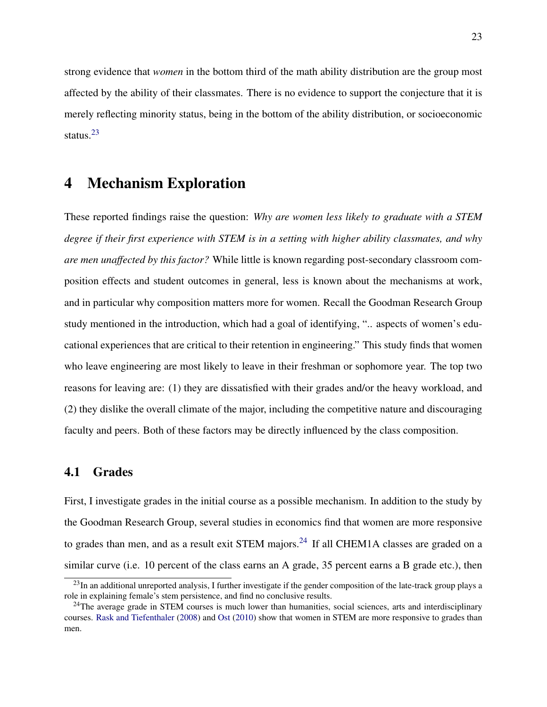strong evidence that *women* in the bottom third of the math ability distribution are the group most affected by the ability of their classmates. There is no evidence to support the conjecture that it is merely reflecting minority status, being in the bottom of the ability distribution, or socioeconomic status.[23](#page-22-0)

### 4 Mechanism Exploration

These reported findings raise the question: *Why are women less likely to graduate with a STEM degree if their first experience with STEM is in a setting with higher ability classmates, and why are men unaffected by this factor?* While little is known regarding post-secondary classroom composition effects and student outcomes in general, less is known about the mechanisms at work, and in particular why composition matters more for women. Recall the Goodman Research Group study mentioned in the introduction, which had a goal of identifying, ".. aspects of women's educational experiences that are critical to their retention in engineering." This study finds that women who leave engineering are most likely to leave in their freshman or sophomore year. The top two reasons for leaving are: (1) they are dissatisfied with their grades and/or the heavy workload, and (2) they dislike the overall climate of the major, including the competitive nature and discouraging faculty and peers. Both of these factors may be directly influenced by the class composition.

### 4.1 Grades

First, I investigate grades in the initial course as a possible mechanism. In addition to the study by the Goodman Research Group, several studies in economics find that women are more responsive to grades than men, and as a result exit STEM majors.<sup>[24](#page-22-1)</sup> If all CHEM1A classes are graded on a similar curve (i.e. 10 percent of the class earns an A grade, 35 percent earns a B grade etc.), then

<span id="page-22-0"></span> $^{23}$ In an additional unreported analysis, I further investigate if the gender composition of the late-track group plays a role in explaining female's stem persistence, and find no conclusive results.

<span id="page-22-1"></span> $^{24}$ The average grade in STEM courses is much lower than humanities, social sciences, arts and interdisciplinary courses. [Rask and Tiefenthaler](#page-30-0) [\(2008\)](#page-30-0) and [Ost](#page-30-1) [\(2010\)](#page-30-1) show that women in STEM are more responsive to grades than men.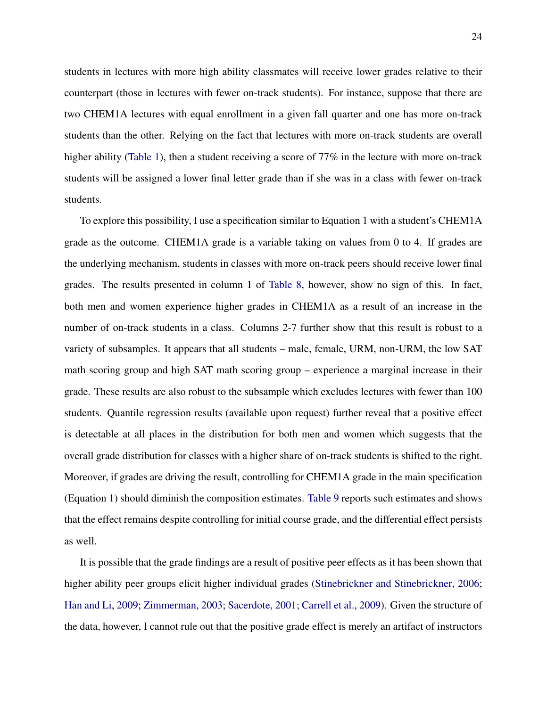students in lectures with more high ability classmates will receive lower grades relative to their counterpart (those in lectures with fewer on-track students). For instance, suppose that there are two CHEM1A lectures with equal enrollment in a given fall quarter and one has more on-track students than the other. Relying on the fact that lectures with more on-track students are overall higher ability [\(Table 1\)](#page-32-0), then a student receiving a score of 77% in the lecture with more on-track students will be assigned a lower final letter grade than if she was in a class with fewer on-track students.

To explore this possibility, I use a specification similar to Equation 1 with a student's CHEM1A grade as the outcome. CHEM1A grade is a variable taking on values from 0 to 4. If grades are the underlying mechanism, students in classes with more on-track peers should receive lower final grades. The results presented in column 1 of [Table 8,](#page-39-0) however, show no sign of this. In fact, both men and women experience higher grades in CHEM1A as a result of an increase in the number of on-track students in a class. Columns 2-7 further show that this result is robust to a variety of subsamples. It appears that all students – male, female, URM, non-URM, the low SAT math scoring group and high SAT math scoring group – experience a marginal increase in their grade. These results are also robust to the subsample which excludes lectures with fewer than 100 students. Quantile regression results (available upon request) further reveal that a positive effect is detectable at all places in the distribution for both men and women which suggests that the overall grade distribution for classes with a higher share of on-track students is shifted to the right. Moreover, if grades are driving the result, controlling for CHEM1A grade in the main specification (Equation 1) should diminish the composition estimates. [Table 9](#page-40-0) reports such estimates and shows that the effect remains despite controlling for initial course grade, and the differential effect persists as well.

It is possible that the grade findings are a result of positive peer effects as it has been shown that higher ability peer groups elicit higher individual grades [\(Stinebrickner and Stinebrickner,](#page-31-3) [2006;](#page-31-3) [Han and Li,](#page-29-9) [2009;](#page-29-9) [Zimmerman,](#page-31-4) [2003;](#page-31-4) [Sacerdote,](#page-31-5) [2001;](#page-31-5) [Carrell et al.,](#page-28-4) [2009\)](#page-28-4). Given the structure of the data, however, I cannot rule out that the positive grade effect is merely an artifact of instructors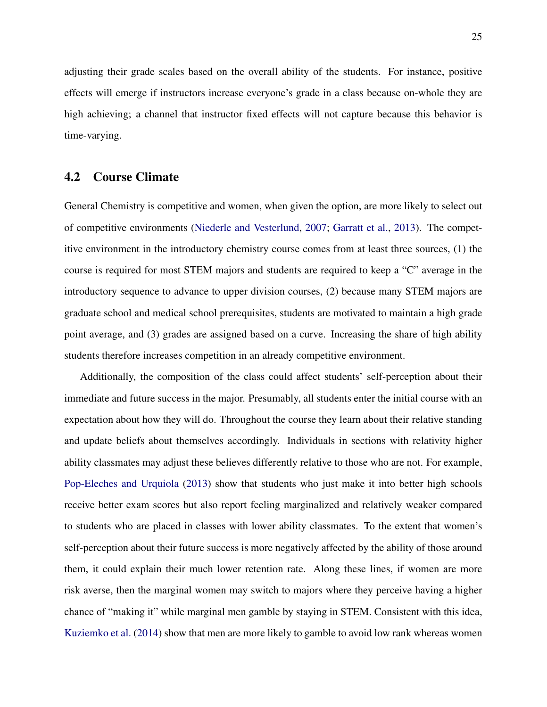adjusting their grade scales based on the overall ability of the students. For instance, positive effects will emerge if instructors increase everyone's grade in a class because on-whole they are high achieving; a channel that instructor fixed effects will not capture because this behavior is time-varying.

### 4.2 Course Climate

General Chemistry is competitive and women, when given the option, are more likely to select out of competitive environments [\(Niederle and Vesterlund,](#page-30-6) [2007;](#page-30-6) [Garratt et al.,](#page-29-3) [2013\)](#page-29-3). The competitive environment in the introductory chemistry course comes from at least three sources, (1) the course is required for most STEM majors and students are required to keep a "C" average in the introductory sequence to advance to upper division courses, (2) because many STEM majors are graduate school and medical school prerequisites, students are motivated to maintain a high grade point average, and (3) grades are assigned based on a curve. Increasing the share of high ability students therefore increases competition in an already competitive environment.

Additionally, the composition of the class could affect students' self-perception about their immediate and future success in the major. Presumably, all students enter the initial course with an expectation about how they will do. Throughout the course they learn about their relative standing and update beliefs about themselves accordingly. Individuals in sections with relativity higher ability classmates may adjust these believes differently relative to those who are not. For example, [Pop-Eleches and Urquiola](#page-30-11) [\(2013\)](#page-30-11) show that students who just make it into better high schools receive better exam scores but also report feeling marginalized and relatively weaker compared to students who are placed in classes with lower ability classmates. To the extent that women's self-perception about their future success is more negatively affected by the ability of those around them, it could explain their much lower retention rate. Along these lines, if women are more risk averse, then the marginal women may switch to majors where they perceive having a higher chance of "making it" while marginal men gamble by staying in STEM. Consistent with this idea, [Kuziemko et al.](#page-29-10) [\(2014\)](#page-29-10) show that men are more likely to gamble to avoid low rank whereas women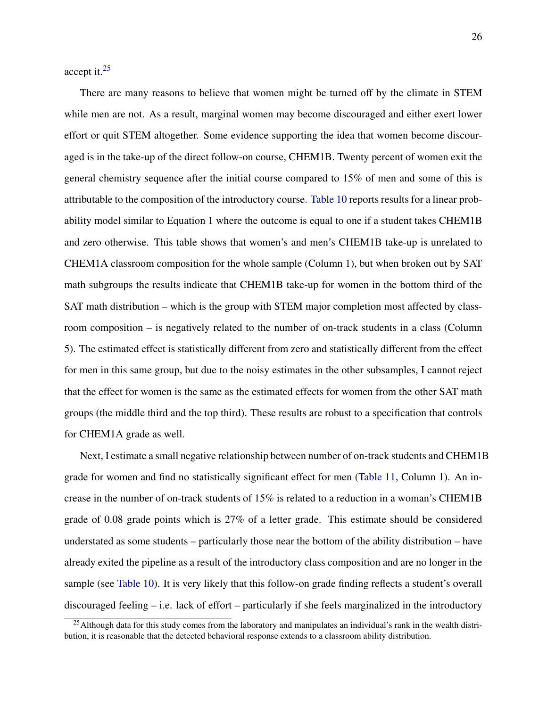accept it.[25](#page-25-0)

There are many reasons to believe that women might be turned off by the climate in STEM while men are not. As a result, marginal women may become discouraged and either exert lower effort or quit STEM altogether. Some evidence supporting the idea that women become discouraged is in the take-up of the direct follow-on course, CHEM1B. Twenty percent of women exit the general chemistry sequence after the initial course compared to 15% of men and some of this is attributable to the composition of the introductory course. [Table 10](#page-41-0) reports results for a linear probability model similar to Equation 1 where the outcome is equal to one if a student takes CHEM1B and zero otherwise. This table shows that women's and men's CHEM1B take-up is unrelated to CHEM1A classroom composition for the whole sample (Column 1), but when broken out by SAT math subgroups the results indicate that CHEM1B take-up for women in the bottom third of the SAT math distribution – which is the group with STEM major completion most affected by classroom composition – is negatively related to the number of on-track students in a class (Column 5). The estimated effect is statistically different from zero and statistically different from the effect for men in this same group, but due to the noisy estimates in the other subsamples, I cannot reject that the effect for women is the same as the estimated effects for women from the other SAT math groups (the middle third and the top third). These results are robust to a specification that controls for CHEM1A grade as well.

Next, I estimate a small negative relationship between number of on-track students and CHEM1B grade for women and find no statistically significant effect for men [\(Table 11,](#page-42-0) Column 1). An increase in the number of on-track students of  $15\%$  is related to a reduction in a woman's CHEM1B grade of 0.08 grade points which is 27% of a letter grade. This estimate should be considered understated as some students – particularly those near the bottom of the ability distribution – have already exited the pipeline as a result of the introductory class composition and are no longer in the sample (see [Table 10\)](#page-41-0). It is very likely that this follow-on grade finding reflects a student's overall discouraged feeling – i.e. lack of effort – particularly if she feels marginalized in the introductory

<span id="page-25-0"></span><sup>&</sup>lt;sup>25</sup>Although data for this study comes from the laboratory and manipulates an individual's rank in the wealth distribution, it is reasonable that the detected behavioral response extends to a classroom ability distribution.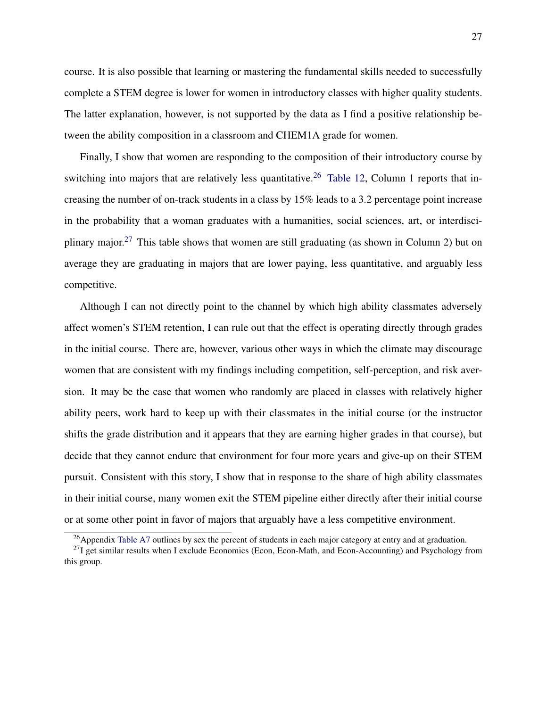course. It is also possible that learning or mastering the fundamental skills needed to successfully complete a STEM degree is lower for women in introductory classes with higher quality students. The latter explanation, however, is not supported by the data as I find a positive relationship between the ability composition in a classroom and CHEM1A grade for women.

Finally, I show that women are responding to the composition of their introductory course by switching into majors that are relatively less quantitative.<sup>[26](#page-26-0)</sup> [Table 12,](#page-43-0) Column 1 reports that increasing the number of on-track students in a class by 15% leads to a 3.2 percentage point increase in the probability that a woman graduates with a humanities, social sciences, art, or interdisci-plinary major.<sup>[27](#page-26-1)</sup> This table shows that women are still graduating (as shown in Column 2) but on average they are graduating in majors that are lower paying, less quantitative, and arguably less competitive.

Although I can not directly point to the channel by which high ability classmates adversely affect women's STEM retention, I can rule out that the effect is operating directly through grades in the initial course. There are, however, various other ways in which the climate may discourage women that are consistent with my findings including competition, self-perception, and risk aversion. It may be the case that women who randomly are placed in classes with relatively higher ability peers, work hard to keep up with their classmates in the initial course (or the instructor shifts the grade distribution and it appears that they are earning higher grades in that course), but decide that they cannot endure that environment for four more years and give-up on their STEM pursuit. Consistent with this story, I show that in response to the share of high ability classmates in their initial course, many women exit the STEM pipeline either directly after their initial course or at some other point in favor of majors that arguably have a less competitive environment.

<span id="page-26-1"></span><span id="page-26-0"></span> $^{26}$ Appendix [Table A7](#page-50-0) outlines by sex the percent of students in each major category at entry and at graduation.

 $^{27}$ I get similar results when I exclude Economics (Econ, Econ-Math, and Econ-Accounting) and Psychology from this group.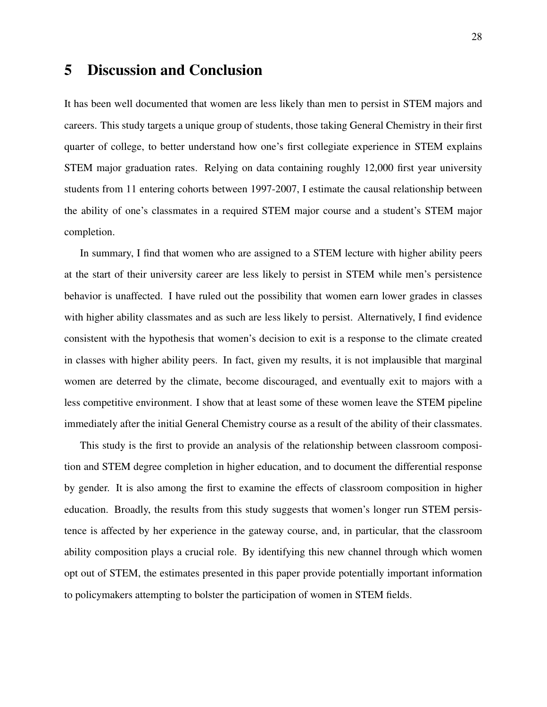## 5 Discussion and Conclusion

It has been well documented that women are less likely than men to persist in STEM majors and careers. This study targets a unique group of students, those taking General Chemistry in their first quarter of college, to better understand how one's first collegiate experience in STEM explains STEM major graduation rates. Relying on data containing roughly 12,000 first year university students from 11 entering cohorts between 1997-2007, I estimate the causal relationship between the ability of one's classmates in a required STEM major course and a student's STEM major completion.

In summary, I find that women who are assigned to a STEM lecture with higher ability peers at the start of their university career are less likely to persist in STEM while men's persistence behavior is unaffected. I have ruled out the possibility that women earn lower grades in classes with higher ability classmates and as such are less likely to persist. Alternatively, I find evidence consistent with the hypothesis that women's decision to exit is a response to the climate created in classes with higher ability peers. In fact, given my results, it is not implausible that marginal women are deterred by the climate, become discouraged, and eventually exit to majors with a less competitive environment. I show that at least some of these women leave the STEM pipeline immediately after the initial General Chemistry course as a result of the ability of their classmates.

This study is the first to provide an analysis of the relationship between classroom composition and STEM degree completion in higher education, and to document the differential response by gender. It is also among the first to examine the effects of classroom composition in higher education. Broadly, the results from this study suggests that women's longer run STEM persistence is affected by her experience in the gateway course, and, in particular, that the classroom ability composition plays a crucial role. By identifying this new channel through which women opt out of STEM, the estimates presented in this paper provide potentially important information to policymakers attempting to bolster the participation of women in STEM fields.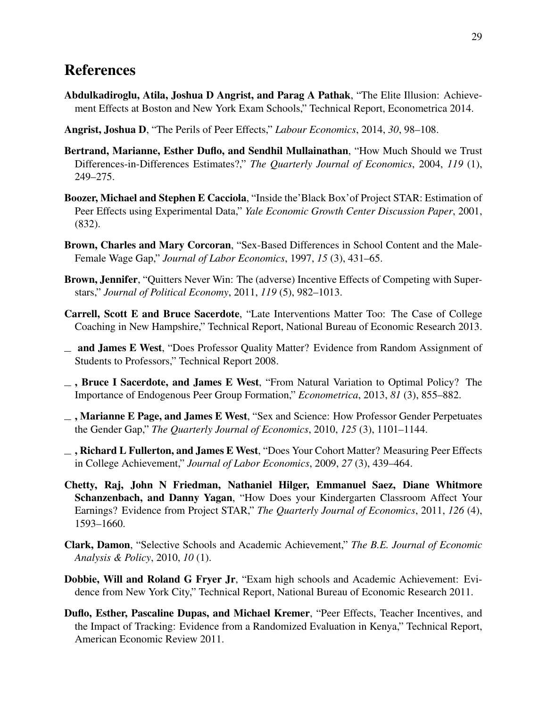## References

- Abdulkadiroglu, Atila, Joshua D Angrist, and Parag A Pathak, "The Elite Illusion: Achievement Effects at Boston and New York Exam Schools," Technical Report, Econometrica 2014.
- <span id="page-28-7"></span>Angrist, Joshua D, "The Perils of Peer Effects," *Labour Economics*, 2014, *30*, 98–108.
- Bertrand, Marianne, Esther Duflo, and Sendhil Mullainathan, "How Much Should we Trust Differences-in-Differences Estimates?," *The Quarterly Journal of Economics*, 2004, *119* (1), 249–275.
- <span id="page-28-3"></span>Boozer, Michael and Stephen E Cacciola, "Inside the'Black Box'of Project STAR: Estimation of Peer Effects using Experimental Data," *Yale Economic Growth Center Discussion Paper*, 2001, (832).
- <span id="page-28-1"></span>Brown, Charles and Mary Corcoran, "Sex-Based Differences in School Content and the Male-Female Wage Gap," *Journal of Labor Economics*, 1997, *15* (3), 431–65.
- <span id="page-28-2"></span>Brown, Jennifer, "Quitters Never Win: The (adverse) Incentive Effects of Competing with Superstars," *Journal of Political Economy*, 2011, *119* (5), 982–1013.
- Carrell, Scott E and Bruce Sacerdote, "Late Interventions Matter Too: The Case of College Coaching in New Hampshire," Technical Report, National Bureau of Economic Research 2013.
- <span id="page-28-6"></span>and James E West, "Does Professor Quality Matter? Evidence from Random Assignment of Students to Professors," Technical Report 2008.
- <span id="page-28-5"></span> $\overline{\phantom{a}}$ , Bruce I Sacerdote, and James E West, "From Natural Variation to Optimal Policy? The Importance of Endogenous Peer Group Formation," *Econometrica*, 2013, *81* (3), 855–882.
- <span id="page-28-0"></span> $\overline{\phantom{a}}$ , Marianne E Page, and James E West, "Sex and Science: How Professor Gender Perpetuates the Gender Gap," *The Quarterly Journal of Economics*, 2010, *125* (3), 1101–1144.
- <span id="page-28-4"></span> $\Box$ , Richard L Fullerton, and James E West, "Does Your Cohort Matter? Measuring Peer Effects in College Achievement," *Journal of Labor Economics*, 2009, *27* (3), 439–464.
- Chetty, Raj, John N Friedman, Nathaniel Hilger, Emmanuel Saez, Diane Whitmore Schanzenbach, and Danny Yagan, "How Does your Kindergarten Classroom Affect Your Earnings? Evidence from Project STAR," *The Quarterly Journal of Economics*, 2011, *126* (4), 1593–1660.
- Clark, Damon, "Selective Schools and Academic Achievement," *The B.E. Journal of Economic Analysis & Policy*, 2010, *10* (1).
- Dobbie, Will and Roland G Fryer Jr, "Exam high schools and Academic Achievement: Evidence from New York City," Technical Report, National Bureau of Economic Research 2011.
- Duflo, Esther, Pascaline Dupas, and Michael Kremer, "Peer Effects, Teacher Incentives, and the Impact of Tracking: Evidence from a Randomized Evaluation in Kenya," Technical Report, American Economic Review 2011.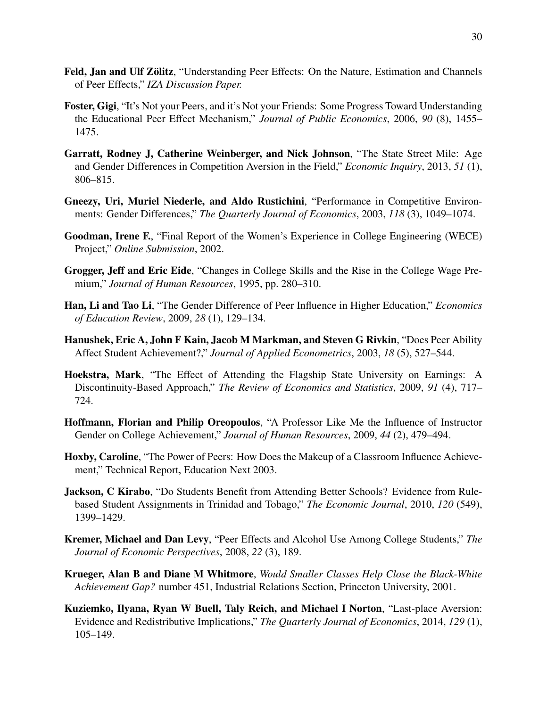- <span id="page-29-8"></span>Feld, Jan and Ulf Zölitz, "Understanding Peer Effects: On the Nature, Estimation and Channels of Peer Effects," *IZA Discussion Paper.*
- <span id="page-29-7"></span>Foster, Gigi, "It's Not your Peers, and it's Not your Friends: Some Progress Toward Understanding the Educational Peer Effect Mechanism," *Journal of Public Economics*, 2006, *90* (8), 1455– 1475.
- <span id="page-29-3"></span>Garratt, Rodney J, Catherine Weinberger, and Nick Johnson, "The State Street Mile: Age and Gender Differences in Competition Aversion in the Field," *Economic Inquiry*, 2013, *51* (1), 806–815.
- <span id="page-29-4"></span>Gneezy, Uri, Muriel Niederle, and Aldo Rustichini, "Performance in Competitive Environments: Gender Differences," *The Quarterly Journal of Economics*, 2003, *118* (3), 1049–1074.
- <span id="page-29-1"></span>Goodman, Irene F., "Final Report of the Women's Experience in College Engineering (WECE) Project," *Online Submission*, 2002.
- <span id="page-29-2"></span>Grogger, Jeff and Eric Eide, "Changes in College Skills and the Rise in the College Wage Premium," *Journal of Human Resources*, 1995, pp. 280–310.
- <span id="page-29-9"></span>Han, Li and Tao Li, "The Gender Difference of Peer Influence in Higher Education," *Economics of Education Review*, 2009, *28* (1), 129–134.
- <span id="page-29-5"></span>Hanushek, Eric A, John F Kain, Jacob M Markman, and Steven G Rivkin, "Does Peer Ability Affect Student Achievement?," *Journal of Applied Econometrics*, 2003, *18* (5), 527–544.
- Hoekstra, Mark, "The Effect of Attending the Flagship State University on Earnings: A Discontinuity-Based Approach," *The Review of Economics and Statistics*, 2009, *91* (4), 717– 724.
- <span id="page-29-0"></span>Hoffmann, Florian and Philip Oreopoulos, "A Professor Like Me the Influence of Instructor Gender on College Achievement," *Journal of Human Resources*, 2009, *44* (2), 479–494.
- <span id="page-29-6"></span>Hoxby, Caroline, "The Power of Peers: How Does the Makeup of a Classroom Influence Achievement," Technical Report, Education Next 2003.
- Jackson, C Kirabo, "Do Students Benefit from Attending Better Schools? Evidence from Rulebased Student Assignments in Trinidad and Tobago," *The Economic Journal*, 2010, *120* (549), 1399–1429.
- Kremer, Michael and Dan Levy, "Peer Effects and Alcohol Use Among College Students," *The Journal of Economic Perspectives*, 2008, *22* (3), 189.
- Krueger, Alan B and Diane M Whitmore, *Would Smaller Classes Help Close the Black-White Achievement Gap?* number 451, Industrial Relations Section, Princeton University, 2001.
- <span id="page-29-10"></span>Kuziemko, Ilyana, Ryan W Buell, Taly Reich, and Michael I Norton, "Last-place Aversion: Evidence and Redistributive Implications," *The Quarterly Journal of Economics*, 2014, *129* (1), 105–149.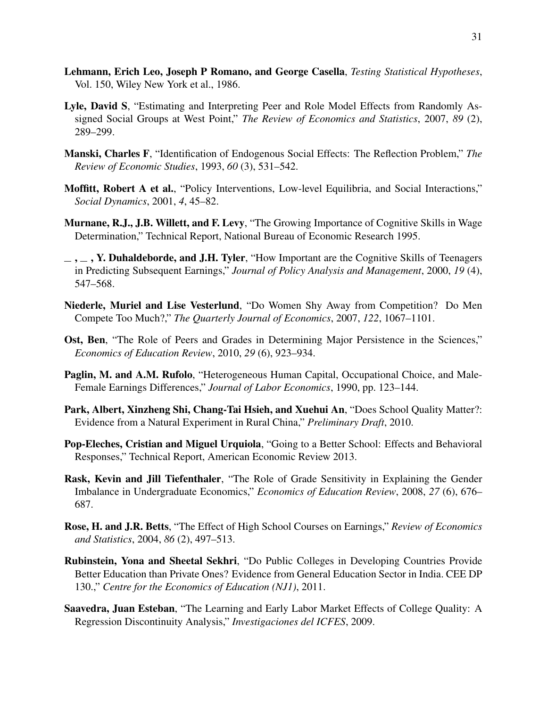- <span id="page-30-8"></span>Lehmann, Erich Leo, Joseph P Romano, and George Casella, *Testing Statistical Hypotheses*, Vol. 150, Wiley New York et al., 1986.
- <span id="page-30-7"></span>Lyle, David S, "Estimating and Interpreting Peer and Role Model Effects from Randomly Assigned Social Groups at West Point," *The Review of Economics and Statistics*, 2007, *89* (2), 289–299.
- <span id="page-30-9"></span>Manski, Charles F, "Identification of Endogenous Social Effects: The Reflection Problem," *The Review of Economic Studies*, 1993, *60* (3), 531–542.
- <span id="page-30-10"></span>Moffitt, Robert A et al., "Policy Interventions, Low-level Equilibria, and Social Interactions," *Social Dynamics*, 2001, *4*, 45–82.
- <span id="page-30-3"></span>Murnane, R.J., J.B. Willett, and F. Levy, "The Growing Importance of Cognitive Skills in Wage Determination," Technical Report, National Bureau of Economic Research 1995.
- <span id="page-30-4"></span> $\ldots$ , Y. Duhaldeborde, and J.H. Tyler, "How Important are the Cognitive Skills of Teenagers in Predicting Subsequent Earnings," *Journal of Policy Analysis and Management*, 2000, *19* (4), 547–568.
- <span id="page-30-6"></span>Niederle, Muriel and Lise Vesterlund, "Do Women Shy Away from Competition? Do Men Compete Too Much?," *The Quarterly Journal of Economics*, 2007, *122*, 1067–1101.
- <span id="page-30-1"></span>Ost, Ben, "The Role of Peers and Grades in Determining Major Persistence in the Sciences," *Economics of Education Review*, 2010, *29* (6), 923–934.
- <span id="page-30-2"></span>Paglin, M. and A.M. Rufolo, "Heterogeneous Human Capital, Occupational Choice, and Male-Female Earnings Differences," *Journal of Labor Economics*, 1990, pp. 123–144.
- Park, Albert, Xinzheng Shi, Chang-Tai Hsieh, and Xuehui An, "Does School Quality Matter?: Evidence from a Natural Experiment in Rural China," *Preliminary Draft*, 2010.
- <span id="page-30-11"></span>Pop-Eleches, Cristian and Miguel Urquiola, "Going to a Better School: Effects and Behavioral Responses," Technical Report, American Economic Review 2013.
- <span id="page-30-0"></span>Rask, Kevin and Jill Tiefenthaler, "The Role of Grade Sensitivity in Explaining the Gender Imbalance in Undergraduate Economics," *Economics of Education Review*, 2008, *27* (6), 676– 687.
- <span id="page-30-5"></span>Rose, H. and J.R. Betts, "The Effect of High School Courses on Earnings," *Review of Economics and Statistics*, 2004, *86* (2), 497–513.
- Rubinstein, Yona and Sheetal Sekhri, "Do Public Colleges in Developing Countries Provide Better Education than Private Ones? Evidence from General Education Sector in India. CEE DP 130.," *Centre for the Economics of Education (NJ1)*, 2011.
- Saavedra, Juan Esteban, "The Learning and Early Labor Market Effects of College Quality: A Regression Discontinuity Analysis," *Investigaciones del ICFES*, 2009.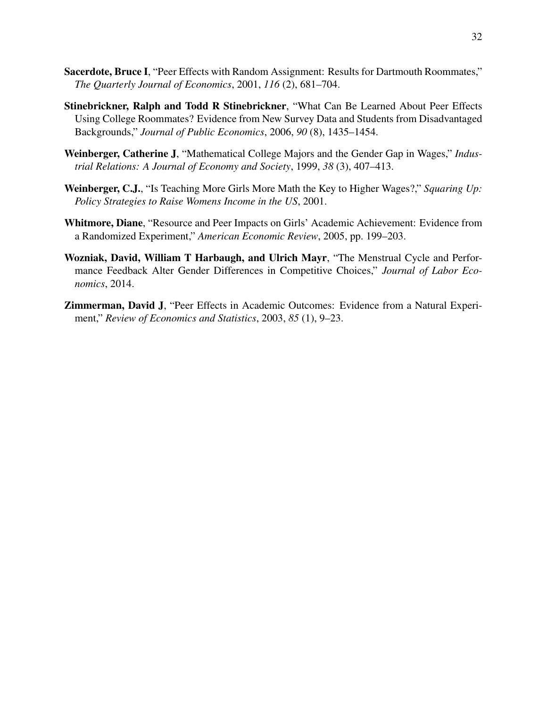- <span id="page-31-5"></span>Sacerdote, Bruce I, "Peer Effects with Random Assignment: Results for Dartmouth Roommates," *The Quarterly Journal of Economics*, 2001, *116* (2), 681–704.
- <span id="page-31-3"></span>Stinebrickner, Ralph and Todd R Stinebrickner, "What Can Be Learned About Peer Effects Using College Roommates? Evidence from New Survey Data and Students from Disadvantaged Backgrounds," *Journal of Public Economics*, 2006, *90* (8), 1435–1454.
- <span id="page-31-0"></span>Weinberger, Catherine J, "Mathematical College Majors and the Gender Gap in Wages," *Industrial Relations: A Journal of Economy and Society*, 1999, *38* (3), 407–413.
- <span id="page-31-1"></span>Weinberger, C.J., "Is Teaching More Girls More Math the Key to Higher Wages?," *Squaring Up: Policy Strategies to Raise Womens Income in the US*, 2001.
- <span id="page-31-2"></span>Whitmore, Diane, "Resource and Peer Impacts on Girls' Academic Achievement: Evidence from a Randomized Experiment," *American Economic Review*, 2005, pp. 199–203.
- Wozniak, David, William T Harbaugh, and Ulrich Mayr, "The Menstrual Cycle and Performance Feedback Alter Gender Differences in Competitive Choices," *Journal of Labor Economics*, 2014.
- <span id="page-31-4"></span>Zimmerman, David J, "Peer Effects in Academic Outcomes: Evidence from a Natural Experiment," *Review of Economics and Statistics*, 2003, *85* (1), 9–23.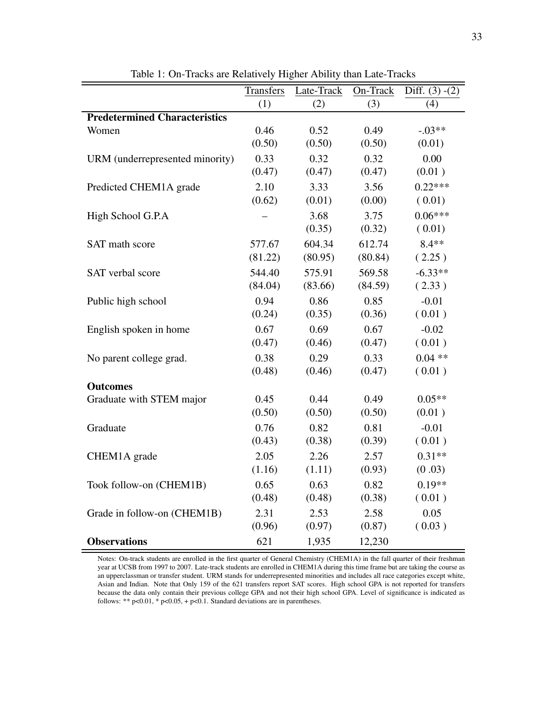<span id="page-32-0"></span>

|                                      | <b>Transfers</b> | Late-Track | On-Track | Diff. $(3) - (2)$ |
|--------------------------------------|------------------|------------|----------|-------------------|
|                                      | (1)              | (2)        | (3)      | (4)               |
| <b>Predetermined Characteristics</b> |                  |            |          |                   |
| Women                                | 0.46             | 0.52       | 0.49     | $-.03**$          |
|                                      | (0.50)           | (0.50)     | (0.50)   | (0.01)            |
| URM (underrepresented minority)      | 0.33             | 0.32       | 0.32     | 0.00              |
|                                      | (0.47)           | (0.47)     | (0.47)   | (0.01)            |
| Predicted CHEM1A grade               | 2.10             | 3.33       | 3.56     | $0.22***$         |
|                                      | (0.62)           | (0.01)     | (0.00)   | (0.01)            |
| High School G.P.A                    |                  | 3.68       | 3.75     | $0.06***$         |
|                                      |                  | (0.35)     | (0.32)   | (0.01)            |
| SAT math score                       | 577.67           | 604.34     | 612.74   | $8.4**$           |
|                                      | (81.22)          | (80.95)    | (80.84)  | (2.25)            |
| SAT verbal score                     | 544.40           | 575.91     | 569.58   | $-6.33**$         |
|                                      | (84.04)          | (83.66)    | (84.59)  | (2.33)            |
| Public high school                   | 0.94             | 0.86       | 0.85     | $-0.01$           |
|                                      | (0.24)           | (0.35)     | (0.36)   | (0.01)            |
| English spoken in home               | 0.67             | 0.69       | 0.67     | $-0.02$           |
|                                      | (0.47)           | (0.46)     | (0.47)   | (0.01)            |
| No parent college grad.              | 0.38             | 0.29       | 0.33     | $0.04$ **         |
|                                      | (0.48)           | (0.46)     | (0.47)   | (0.01)            |
| <b>Outcomes</b>                      |                  |            |          |                   |
| Graduate with STEM major             | 0.45             | 0.44       | 0.49     | $0.05**$          |
|                                      | (0.50)           | (0.50)     | (0.50)   | (0.01)            |
| Graduate                             | 0.76             | 0.82       | 0.81     | $-0.01$           |
|                                      | (0.43)           | (0.38)     | (0.39)   | (0.01)            |
| CHEM1A grade                         | 2.05             | 2.26       | 2.57     | $0.31**$          |
|                                      | (1.16)           | (1.11)     | (0.93)   | (0.03)            |
| Took follow-on (CHEM1B)              | 0.65             | 0.63       | 0.82     | $0.19**$          |
|                                      | (0.48)           | (0.48)     | (0.38)   | (0.01)            |
| Grade in follow-on (CHEM1B)          | 2.31             | 2.53       | 2.58     | 0.05              |
|                                      | (0.96)           | (0.97)     | (0.87)   | (0.03)            |
| <b>Observations</b>                  | 621              | 1,935      | 12,230   |                   |

Table 1: On-Tracks are Relatively Higher Ability than Late-Tracks

Notes: On-track students are enrolled in the first quarter of General Chemistry (CHEM1A) in the fall quarter of their freshman year at UCSB from 1997 to 2007. Late-track students are enrolled in CHEM1A during this time frame but are taking the course as an upperclassman or transfer student. URM stands for underrepresented minorities and includes all race categories except white, Asian and Indian. Note that Only 159 of the 621 transfers report SAT scores. High school GPA is not reported for transfers because the data only contain their previous college GPA and not their high school GPA. Level of significance is indicated as follows: \*\*  $p<0.01$ , \*  $p<0.05$ , +  $p<0.1$ . Standard deviations are in parentheses.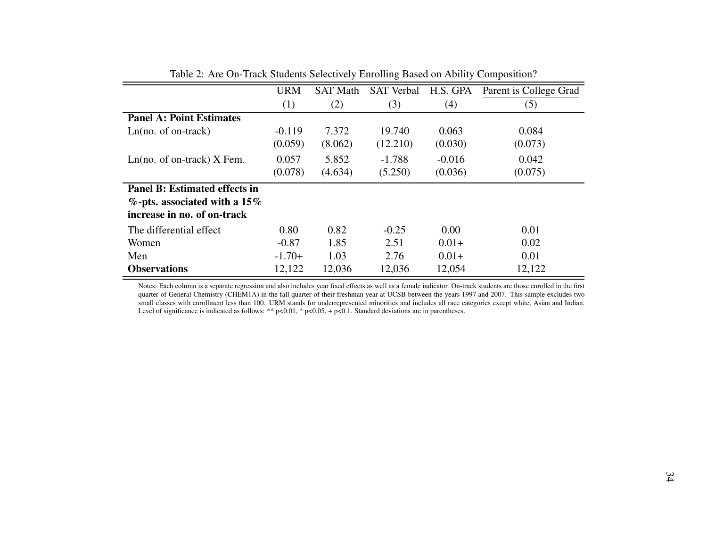|                                      | <b>URM</b> | <b>SAT Math</b> | <b>SAT Verbal</b> | H.S. GPA | Parent is College Grad |
|--------------------------------------|------------|-----------------|-------------------|----------|------------------------|
|                                      | (1)        | (2)             | (3)               | (4)      | (5)                    |
| <b>Panel A: Point Estimates</b>      |            |                 |                   |          |                        |
| $Ln(no. of on-track)$                | $-0.119$   | 7.372           | 19.740            | 0.063    | 0.084                  |
|                                      | (0.059)    | (8.062)         | (12.210)          | (0.030)  | (0.073)                |
| $Ln(no. of on-track)$ X Fem.         | 0.057      | 5.852           | $-1.788$          | $-0.016$ | 0.042                  |
|                                      | (0.078)    | (4.634)         | (5.250)           | (0.036)  | (0.075)                |
| <b>Panel B: Estimated effects in</b> |            |                 |                   |          |                        |
| $\%$ -pts. associated with a 15%     |            |                 |                   |          |                        |
| increase in no. of on-track          |            |                 |                   |          |                        |
| The differential effect              | 0.80       | 0.82            | $-0.25$           | 0.00     | 0.01                   |
| Women                                | $-0.87$    | 1.85            | 2.51              | $0.01+$  | 0.02                   |
| Men                                  | $-1.70+$   | 1.03            | 2.76              | $0.01+$  | 0.01                   |
| <b>Observations</b>                  | 12,122     | 12,036          | 12,036            | 12,054   | 12,122                 |

<span id="page-33-0"></span>Table 2: Are On-Track Students Selectively Enrolling Based on Ability Composition?

Notes: Each column is <sup>a</sup> separate regression and also includes year fixed effects as well as <sup>a</sup> female indicator. On-track students are those enrolled in the first quarter of General Chemistry (CHEM1A) in the fall quarter of their freshman year at UCSB between the years 1997 and 2007. This sample excludes two small classes with enrollment less than 100. URM stands for underrepresented minorities and includes all race categories excep<sup>t</sup> white, Asian and Indian.Level of significance is indicated as follows: \*\* p<0.01, \* p<0.05, + p<0.1. Standard deviations are in parentheses.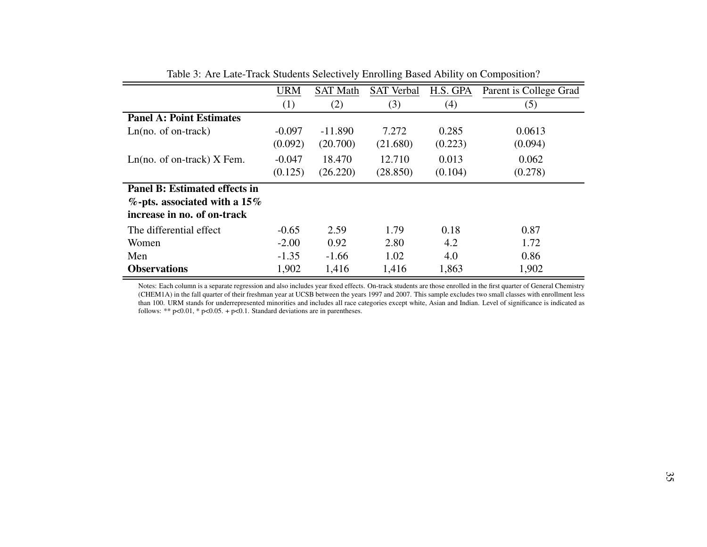|                                      | <b>URM</b> | <b>SAT Math</b> | <b>SAT Verbal</b> | H.S. GPA | Parent is College Grad |
|--------------------------------------|------------|-----------------|-------------------|----------|------------------------|
|                                      | (1)        | (2)             | (3)               | (4)      | (5)                    |
| <b>Panel A: Point Estimates</b>      |            |                 |                   |          |                        |
| $Ln(no. of on-track)$                | $-0.097$   | $-11.890$       | 7.272             | 0.285    | 0.0613                 |
|                                      | (0.092)    | (20.700)        | (21.680)          | (0.223)  | (0.094)                |
| $Ln(no. of on-track)$ X Fem.         | $-0.047$   | 18.470          | 12.710            | 0.013    | 0.062                  |
|                                      | (0.125)    | (26.220)        | (28.850)          | (0.104)  | (0.278)                |
| <b>Panel B: Estimated effects in</b> |            |                 |                   |          |                        |
| $\%$ -pts. associated with a 15%     |            |                 |                   |          |                        |
| increase in no. of on-track          |            |                 |                   |          |                        |
| The differential effect              | $-0.65$    | 2.59            | 1.79              | 0.18     | 0.87                   |
| Women                                | $-2.00$    | 0.92            | 2.80              | 4.2      | 1.72                   |
| Men                                  | $-1.35$    | $-1.66$         | 1.02              | 4.0      | 0.86                   |
| <b>Observations</b>                  | 1,902      | 1,416           | 1,416             | 1,863    | 1,902                  |

Table 3: Are Late-Track Students Selectively Enrolling Based Ability on Composition?

<span id="page-34-0"></span>Notes: Each column is <sup>a</sup> separate regression and also includes year fixed effects. On-track students are those enrolled in the first quarter of General Chemistry (CHEM1A) in the fall quarter of their freshman year at UCSB between the years 1997 and 2007. This sample excludes two small classes with enrollment less than 100. URM stands for underrepresented minorities and includes all race categories excep<sup>t</sup> white, Asian and Indian. Level of significance is indicated asfollows: \*\*  $p<0.01$ , \*  $p<0.05$ . +  $p<0.1$ . Standard deviations are in parentheses.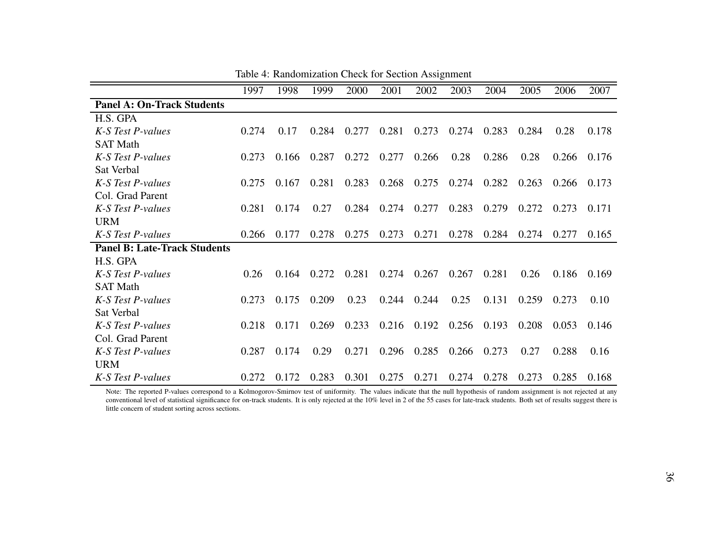|                                     | 1997  | 1998  | 1999  | 2000  | 2001  | 2002  | 2003  | 2004  | 2005  | 2006  | 2007  |
|-------------------------------------|-------|-------|-------|-------|-------|-------|-------|-------|-------|-------|-------|
| <b>Panel A: On-Track Students</b>   |       |       |       |       |       |       |       |       |       |       |       |
| H.S. GPA                            |       |       |       |       |       |       |       |       |       |       |       |
| K-S Test P-values                   | 0.274 | 0.17  | 0.284 | 0.277 | 0.281 | 0.273 | 0.274 | 0.283 | 0.284 | 0.28  | 0.178 |
| <b>SAT Math</b>                     |       |       |       |       |       |       |       |       |       |       |       |
| K-S Test P-values                   | 0.273 | 0.166 | 0.287 | 0.272 | 0.277 | 0.266 | 0.28  | 0.286 | 0.28  | 0.266 | 0.176 |
| Sat Verbal                          |       |       |       |       |       |       |       |       |       |       |       |
| K-S Test P-values                   | 0.275 | 0.167 | 0.281 | 0.283 | 0.268 | 0.275 | 0.274 | 0.282 | 0.263 | 0.266 | 0.173 |
| Col. Grad Parent                    |       |       |       |       |       |       |       |       |       |       |       |
| K-S Test P-values                   | 0.281 | 0.174 | 0.27  | 0.284 | 0.274 | 0.277 | 0.283 | 0.279 | 0.272 | 0.273 | 0.171 |
| <b>URM</b>                          |       |       |       |       |       |       |       |       |       |       |       |
| K-S Test P-values                   | 0.266 | 0.177 | 0.278 | 0.275 | 0.273 | 0.271 | 0.278 | 0.284 | 0.274 | 0.277 | 0.165 |
| <b>Panel B: Late-Track Students</b> |       |       |       |       |       |       |       |       |       |       |       |
| H.S. GPA                            |       |       |       |       |       |       |       |       |       |       |       |
| K-S Test P-values                   | 0.26  | 0.164 | 0.272 | 0.281 | 0.274 | 0.267 | 0.267 | 0.281 | 0.26  | 0.186 | 0.169 |
| <b>SAT Math</b>                     |       |       |       |       |       |       |       |       |       |       |       |
| K-S Test P-values                   | 0.273 | 0.175 | 0.209 | 0.23  | 0.244 | 0.244 | 0.25  | 0.131 | 0.259 | 0.273 | 0.10  |
| Sat Verbal                          |       |       |       |       |       |       |       |       |       |       |       |
| K-S Test P-values                   | 0.218 | 0.171 | 0.269 | 0.233 | 0.216 | 0.192 | 0.256 | 0.193 | 0.208 | 0.053 | 0.146 |
| Col. Grad Parent                    |       |       |       |       |       |       |       |       |       |       |       |
| K-S Test P-values                   | 0.287 | 0.174 | 0.29  | 0.271 | 0.296 | 0.285 | 0.266 | 0.273 | 0.27  | 0.288 | 0.16  |
| <b>URM</b>                          |       |       |       |       |       |       |       |       |       |       |       |
| K-S Test P-values                   | 0.272 | 0.172 | 0.283 | 0.301 | 0.275 | 0.271 | 0.274 | 0.278 | 0.273 | 0.285 | 0.168 |

Table 4: Randomization Check for Section Assignment

<span id="page-35-0"></span>Note: The reported P-values correspond to a Kolmogorov-Smirnov test of uniformity. The values indicate that the null hypothesis of random assignment is not rejected at any conventional level of statistical significance for on-track students. It is only rejected at the 10% level in 2 of the 55 cases for late-track students. Both set of results sugges<sup>t</sup> there islittle concern of student sorting across sections.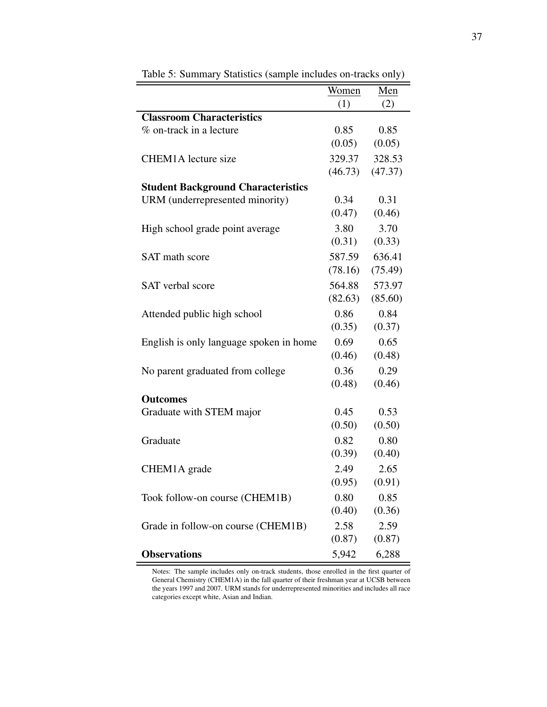<span id="page-36-0"></span>

|                                           | Women   | Men     |
|-------------------------------------------|---------|---------|
|                                           | (1)     | (2)     |
| <b>Classroom Characteristics</b>          |         |         |
| % on-track in a lecture                   | 0.85    | 0.85    |
|                                           | (0.05)  | (0.05)  |
| <b>CHEM1A</b> lecture size                | 329.37  | 328.53  |
|                                           | (46.73) | (47.37) |
| <b>Student Background Characteristics</b> |         |         |
| URM (underrepresented minority)           | 0.34    | 0.31    |
|                                           | (0.47)  | (0.46)  |
| High school grade point average           | 3.80    | 3.70    |
|                                           | (0.31)  | (0.33)  |
| <b>SAT</b> math score                     | 587.59  | 636.41  |
|                                           | (78.16) | (75.49) |
| <b>SAT</b> verbal score                   | 564.88  | 573.97  |
|                                           | (82.63) | (85.60) |
| Attended public high school               | 0.86    | 0.84    |
|                                           | (0.35)  | (0.37)  |
| English is only language spoken in home   | 0.69    | 0.65    |
|                                           | (0.46)  | (0.48)  |
| No parent graduated from college          | 0.36    | 0.29    |
|                                           | (0.48)  | (0.46)  |
| <b>Outcomes</b>                           |         |         |
| Graduate with STEM major                  | 0.45    | 0.53    |
|                                           | (0.50)  | (0.50)  |
| Graduate                                  | 0.82    | 0.80    |
|                                           | (0.39)  | (0.40)  |
| CHEM1A grade                              | 2.49    | 2.65    |
|                                           | (0.95)  | (0.91)  |
| Took follow-on course (CHEM1B)            | 0.80    | 0.85    |
|                                           | (0.40)  | (0.36)  |
| Grade in follow-on course (CHEM1B)        | 2.58    | 2.59    |
|                                           | (0.87)  | (0.87)  |
| <b>Observations</b>                       | 5,942   | 6,288   |

Table 5: Summary Statistics (sample includes on-tracks only)

Notes: The sample includes only on-track students, those enrolled in the first quarter of General Chemistry (CHEM1A) in the fall quarter of their freshman year at UCSB between the years 1997 and 2007. URM stands for underrepresented minorities and includes all race categories except white, Asian and Indian.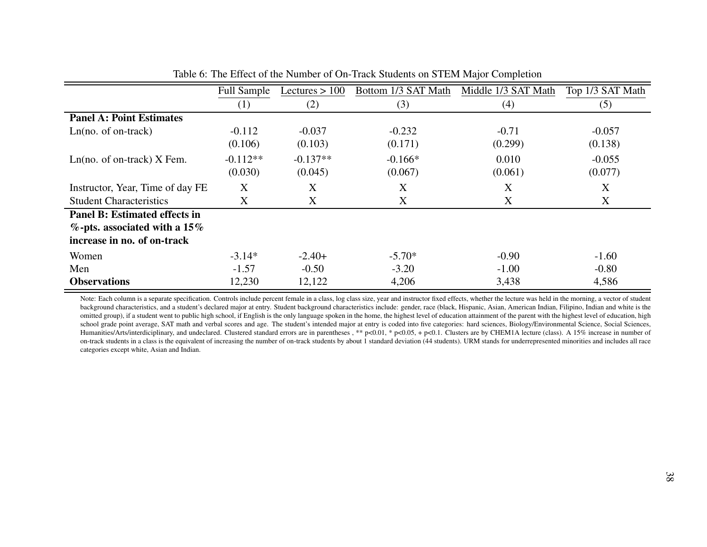|                                      | <b>Full Sample</b> | Lectures $> 100$ | Bottom 1/3 SAT Math | Middle 1/3 SAT Math | Top 1/3 SAT Math |
|--------------------------------------|--------------------|------------------|---------------------|---------------------|------------------|
|                                      | (1)                | (2)              | (3)                 | (4)                 | (5)              |
| <b>Panel A: Point Estimates</b>      |                    |                  |                     |                     |                  |
| $Ln(no. of on-track)$                | $-0.112$           | $-0.037$         | $-0.232$            | $-0.71$             | $-0.057$         |
|                                      | (0.106)            | (0.103)          | (0.171)             | (0.299)             | (0.138)          |
| $Ln(no. of on-track)$ X Fem.         | $-0.112**$         | $-0.137**$       | $-0.166*$           | 0.010               | $-0.055$         |
|                                      | (0.030)            | (0.045)          | (0.067)             | (0.061)             | (0.077)          |
| Instructor, Year, Time of day FE     | X                  | X                | X                   | X                   | X                |
| <b>Student Characteristics</b>       | X                  | X                | X                   | X                   | X                |
| <b>Panel B: Estimated effects in</b> |                    |                  |                     |                     |                  |
| $\%$ -pts. associated with a 15%     |                    |                  |                     |                     |                  |
| increase in no. of on-track          |                    |                  |                     |                     |                  |
| Women                                | $-3.14*$           | $-2.40+$         | $-5.70*$            | $-0.90$             | $-1.60$          |
| Men                                  | $-1.57$            | $-0.50$          | $-3.20$             | $-1.00$             | $-0.80$          |
| <b>Observations</b>                  | 12,230             | 12,122           | 4,206               | 3,438               | 4,586            |

Table 6: The Effect of the Number of On-Track Students on STEM Major Completion

<span id="page-37-0"></span>Note: Each column is a separate specification. Controls include percent female in a class, log class size, year and instructor fixed effects, whether the lecture was held in the morning, a vector of student background characteristics, and a student's declared major at entry. Student background characteristics include: gender, race (black, Hispanic, Asian, American Indian, Filipino, Indian and white is the omitted group), if a student went to public high school, if English is the only language spoken in the home, the highest level of education attainment of the parent with the highest level of education, high school grade point average, SAT math and verbal scores and age. The student's intended major at entry is coded into five categories: hard sciences, Biology/Environmental Science, Social Sciences, Humanities/Arts/interdiciplinary, and undeclared. Clustered standard errors are in parentheses , \*\* p<0.01, \* p<0.05, <sup>+</sup> p<0.1. Clusters are by CHEM1A lecture (class). A 15% increase in number of on-track students in <sup>a</sup> class is the equivalent of increasing the number of on-track students by about 1 standard deviation (44 students). URM stands for underrepresented minorities and includes all racecategories excep<sup>t</sup> white, Asian and Indian.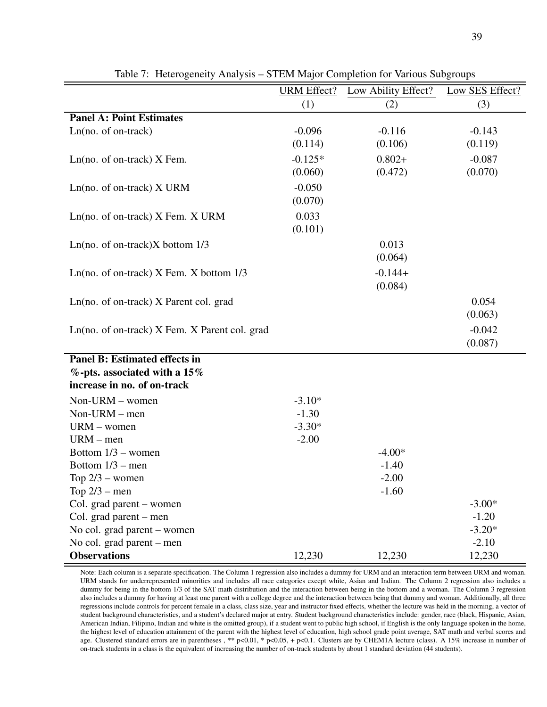<span id="page-38-0"></span>

|                                               | <b>URM</b> Effect? | Low Ability Effect? | Low SES Effect? |
|-----------------------------------------------|--------------------|---------------------|-----------------|
|                                               | (1)                | (2)                 | (3)             |
| <b>Panel A: Point Estimates</b>               |                    |                     |                 |
| $Ln(no. of on-track)$                         | $-0.096$           | $-0.116$            | $-0.143$        |
|                                               | (0.114)            | (0.106)             | (0.119)         |
| $Ln(no. of on-track)$ X Fem.                  | $-0.125*$          | $0.802+$            | $-0.087$        |
|                                               | (0.060)            | (0.472)             | (0.070)         |
| $Ln(no. of on-track)$ X URM                   | $-0.050$           |                     |                 |
|                                               | (0.070)            |                     |                 |
| $Ln(no. of on-track)$ X Fem. X URM            | 0.033              |                     |                 |
|                                               | (0.101)            |                     |                 |
| Ln(no. of on-track) $X$ bottom $1/3$          |                    | 0.013               |                 |
|                                               |                    | (0.064)             |                 |
|                                               |                    | $-0.144+$           |                 |
| Ln(no. of on-track) $X$ Fem. $X$ bottom $1/3$ |                    | (0.084)             |                 |
|                                               |                    |                     |                 |
| Ln(no. of on-track) X Parent col. grad        |                    |                     | 0.054           |
|                                               |                    |                     | (0.063)         |
| Ln(no. of on-track) X Fem. X Parent col. grad |                    |                     | $-0.042$        |
|                                               |                    |                     | (0.087)         |
| <b>Panel B: Estimated effects in</b>          |                    |                     |                 |
| $%$ -pts. associated with a 15%               |                    |                     |                 |
| increase in no. of on-track                   |                    |                     |                 |
| $Non-URM$ – women                             | $-3.10*$           |                     |                 |
| Non-URM - men                                 | $-1.30$            |                     |                 |
| $URM$ – women                                 | $-3.30*$           |                     |                 |
| $URM - men$                                   | $-2.00$            |                     |                 |
| Bottom $1/3$ – women                          |                    | $-4.00*$            |                 |
| Bottom $1/3$ – men                            |                    | $-1.40$             |                 |
| Top $2/3$ – women                             |                    | $-2.00$             |                 |
| Top $2/3$ – men                               |                    | $-1.60$             |                 |
| Col. grad parent – women                      |                    |                     | $-3.00*$        |
| Col. grad parent – men                        |                    |                     | $-1.20$         |
| No col. grad parent – women                   |                    |                     | $-3.20*$        |
| No col. grad parent - men                     |                    |                     | $-2.10$         |
| <b>Observations</b>                           | 12,230             | 12,230              | 12,230          |

Table 7: Heterogeneity Analysis – STEM Major Completion for Various Subgroups

Note: Each column is a separate specification. The Column 1 regression also includes a dummy for URM and an interaction term between URM and woman. URM stands for underrepresented minorities and includes all race categories except white, Asian and Indian. The Column 2 regression also includes a dummy for being in the bottom 1/3 of the SAT math distribution and the interaction between being in the bottom and a woman. The Column 3 regression also includes a dummy for having at least one parent with a college degree and the interaction between being that dummy and woman. Additionally, all three regressions include controls for percent female in a class, class size, year and instructor fixed effects, whether the lecture was held in the morning, a vector of student background characteristics, and a student's declared major at entry. Student background characteristics include: gender, race (black, Hispanic, Asian, American Indian, Filipino, Indian and white is the omitted group), if a student went to public high school, if English is the only language spoken in the home, the highest level of education attainment of the parent with the highest level of education, high school grade point average, SAT math and verbal scores and age. Clustered standard errors are in parentheses, \*\* p<0.01, \* p<0.05, + p<0.1. Clusters are by CHEM1A lecture (class). A 15% increase in number of on-track students in a class is the equivalent of increasing the number of on-track students by about 1 standard deviation (44 students).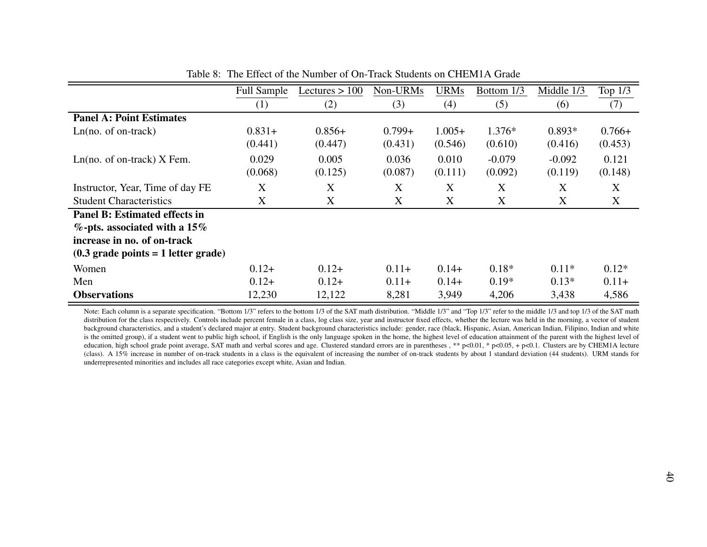|                                                       | <b>Full Sample</b> | Lectures $> 100$ | Non-URMs  | URMs     | Bottom 1/3 | Middle 1/3 | Top 1/3  |
|-------------------------------------------------------|--------------------|------------------|-----------|----------|------------|------------|----------|
|                                                       | (1)                | (2)              | (3)       | (4)      | (5)        | (6)        | (7)      |
| <b>Panel A: Point Estimates</b>                       |                    |                  |           |          |            |            |          |
| $Ln(no. of on-track)$                                 | $0.831+$           | $0.856+$         | $0.799 +$ | $1.005+$ | $1.376*$   | $0.893*$   | $0.766+$ |
|                                                       | (0.441)            | (0.447)          | (0.431)   | (0.546)  | (0.610)    | (0.416)    | (0.453)  |
| $Ln(no. of on-track)$ X Fem.                          | 0.029              | 0.005            | 0.036     | 0.010    | $-0.079$   | $-0.092$   | 0.121    |
|                                                       | (0.068)            | (0.125)          | (0.087)   | (0.111)  | (0.092)    | (0.119)    | (0.148)  |
| Instructor, Year, Time of day FE                      | X                  | X                | X         | X        | X          | X          | X        |
| <b>Student Characteristics</b>                        | X                  | X                | X         | X        | X          | X          | X        |
| <b>Panel B: Estimated effects in</b>                  |                    |                  |           |          |            |            |          |
| $\%$ -pts. associated with a 15%                      |                    |                  |           |          |            |            |          |
| increase in no. of on-track                           |                    |                  |           |          |            |            |          |
| $(0.3 \text{ grade points} = 1 \text{ letter grade})$ |                    |                  |           |          |            |            |          |
| Women                                                 | $0.12+$            | $0.12+$          | $0.11+$   | $0.14+$  | $0.18*$    | $0.11*$    | $0.12*$  |
| Men                                                   | $0.12+$            | $0.12+$          | $0.11+$   | $0.14+$  | $0.19*$    | $0.13*$    | $0.11+$  |
| <b>Observations</b>                                   | 12,230             | 12,122           | 8,281     | 3,949    | 4,206      | 3,438      | 4,586    |

Table 8: The Effect of the Number of On-Track Students on CHEM1A Grade

<span id="page-39-0"></span>Note: Each column is a separate specification. "Bottom 1/3" refers to the bottom 1/3 of the SAT math distribution. "Middle 1/3" and "Top 1/3" refer to the middle 1/3 and top 1/3 of the SAT math distribution for the class respectively. Controls include percen<sup>t</sup> female in <sup>a</sup> class, log class size, year and instructor fixed effects, whether the lecture was held in the morning, <sup>a</sup> vector of student background characteristics, and <sup>a</sup> student's declared major at entry. Student background characteristics include: gender, race (black, Hispanic, Asian, American Indian, Filipino, Indian and whiteis the omitted group), if a student went to public high school, if English is the only language spoken in the home, the highest level of education attainment of the parent with the highest level of education, high school grade point average, SAT math and verbal scores and age. Clustered standard errors are in parentheses , \*\* p<0.01, \* p<0.05, + p<0.1. Clusters are by CHEM1A lecture (class). A 15% increase in number of on-track students in <sup>a</sup> class is the equivalent of increasing the number of on-track students by about 1 standard deviation (44 students). URM stands forunderrepresented minorities and includes all race categories excep<sup>t</sup> white, Asian and Indian.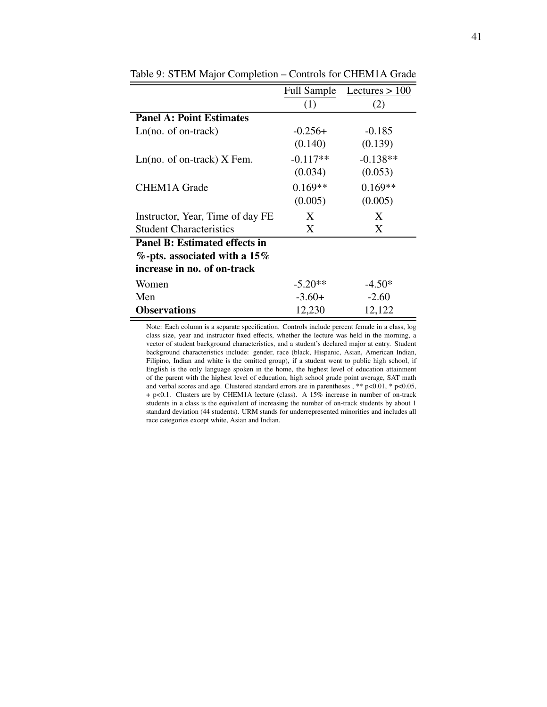|                                      | <b>Full Sample</b> | Lectures $> 100$ |
|--------------------------------------|--------------------|------------------|
|                                      | (1)                | (2)              |
| <b>Panel A: Point Estimates</b>      |                    |                  |
| $Ln(no. of on-track)$                | $-0.256+$          | $-0.185$         |
|                                      | (0.140)            | (0.139)          |
| $Ln(no. of on-track)$ X Fem.         | $-0.117**$         | $-0.138**$       |
|                                      | (0.034)            | (0.053)          |
| <b>CHEM1A Grade</b>                  | $0.169**$          | $0.169**$        |
|                                      | (0.005)            | (0.005)          |
| Instructor, Year, Time of day FE     | X                  | X                |
| <b>Student Characteristics</b>       | X                  | X                |
| <b>Panel B: Estimated effects in</b> |                    |                  |
| %-pts. associated with a 15%         |                    |                  |
| increase in no. of on-track          |                    |                  |
| Women                                | $-5.20**$          | $-4.50*$         |
| Men                                  | $-3.60+$           | $-2.60$          |
| <b>Observations</b>                  | 12,230             | 12,122           |

<span id="page-40-0"></span>Table 9: STEM Major Completion – Controls for CHEM1A Grade

Note: Each column is a separate specification. Controls include percent female in a class, log class size, year and instructor fixed effects, whether the lecture was held in the morning, a vector of student background characteristics, and a student's declared major at entry. Student background characteristics include: gender, race (black, Hispanic, Asian, American Indian, Filipino, Indian and white is the omitted group), if a student went to public high school, if English is the only language spoken in the home, the highest level of education attainment of the parent with the highest level of education, high school grade point average, SAT math and verbal scores and age. Clustered standard errors are in parentheses, \*\*  $p<0.01$ , \*  $p<0.05$ , + p<0.1. Clusters are by CHEM1A lecture (class). A 15% increase in number of on-track students in a class is the equivalent of increasing the number of on-track students by about 1 standard deviation (44 students). URM stands for underrepresented minorities and includes all race categories except white, Asian and Indian.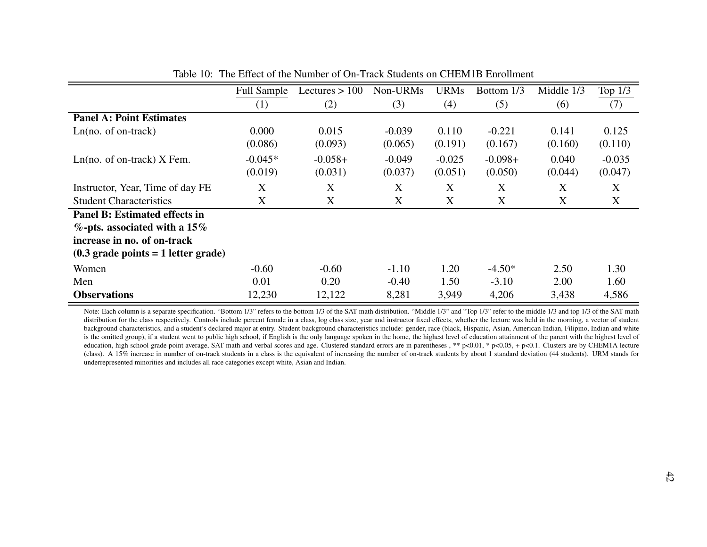|                                                       | <b>Full Sample</b> | Lectures $> 100$ | Non-URMs | <b>URMs</b> | Bottom 1/3 | Middle 1/3 | Top $1/3$ |
|-------------------------------------------------------|--------------------|------------------|----------|-------------|------------|------------|-----------|
|                                                       | (1)                | (2)              | (3)      | (4)         | (5)        | (6)        | (7)       |
| <b>Panel A: Point Estimates</b>                       |                    |                  |          |             |            |            |           |
| $Ln(no. of on-track)$                                 | 0.000              | 0.015            | $-0.039$ | 0.110       | $-0.221$   | 0.141      | 0.125     |
|                                                       | (0.086)            | (0.093)          | (0.065)  | (0.191)     | (0.167)    | (0.160)    | (0.110)   |
| $Ln(no. of on-track)$ X Fem.                          | $-0.045*$          | $-0.058+$        | $-0.049$ | $-0.025$    | $-0.098+$  | 0.040      | $-0.035$  |
|                                                       | (0.019)            | (0.031)          | (0.037)  | (0.051)     | (0.050)    | (0.044)    | (0.047)   |
| Instructor, Year, Time of day FE                      | X                  | X                | X        | X           | X          | X          | X         |
| <b>Student Characteristics</b>                        | X                  | X                | X        | X           | X          | X          | X         |
| <b>Panel B: Estimated effects in</b>                  |                    |                  |          |             |            |            |           |
| $\%$ -pts. associated with a 15%                      |                    |                  |          |             |            |            |           |
| increase in no. of on-track                           |                    |                  |          |             |            |            |           |
| $(0.3 \text{ grade points} = 1 \text{ letter grade})$ |                    |                  |          |             |            |            |           |
| Women                                                 | $-0.60$            | $-0.60$          | $-1.10$  | 1.20        | $-4.50*$   | 2.50       | 1.30      |
| Men                                                   | 0.01               | 0.20             | $-0.40$  | 1.50        | $-3.10$    | 2.00       | 1.60      |
| <b>Observations</b>                                   | 12,230             | 12,122           | 8,281    | 3,949       | 4,206      | 3,438      | 4,586     |

Table 10: The Effect of the Number of On-Track Students on CHEM1B Enrollment

<span id="page-41-0"></span>Note: Each column is a separate specification. "Bottom 1/3" refers to the bottom 1/3 of the SAT math distribution. "Middle 1/3" and "Top 1/3" refer to the middle 1/3 and top 1/3 of the SAT math distribution for the class respectively. Controls include percen<sup>t</sup> female in <sup>a</sup> class, log class size, year and instructor fixed effects, whether the lecture was held in the morning, <sup>a</sup> vector of student background characteristics, and <sup>a</sup> student's declared major at entry. Student background characteristics include: gender, race (black, Hispanic, Asian, American Indian, Filipino, Indian and whiteis the omitted group), if a student went to public high school, if English is the only language spoken in the home, the highest level of education attainment of the parent with the highest level of education, high school grade point average, SAT math and verbal scores and age. Clustered standard errors are in parentheses , \*\* p<0.01, \* p<0.05, + p<0.1. Clusters are by CHEM1A lecture (class). A 15% increase in number of on-track students in <sup>a</sup> class is the equivalent of increasing the number of on-track students by about 1 standard deviation (44 students). URM stands forunderrepresented minorities and includes all race categories excep<sup>t</sup> white, Asian and Indian.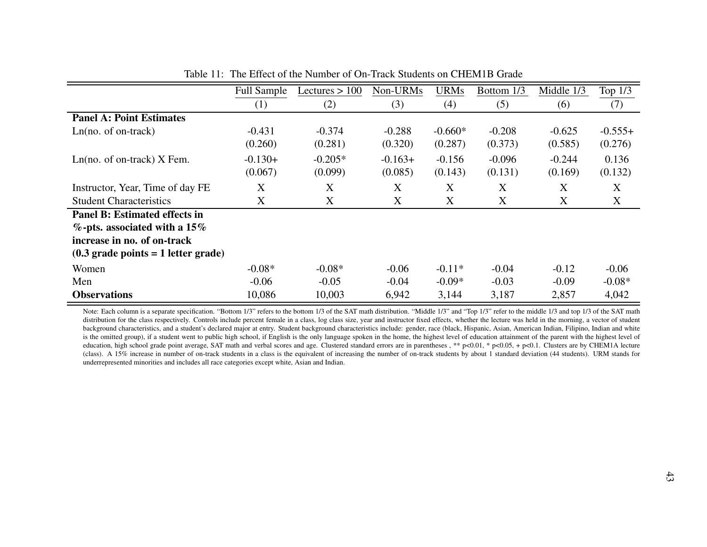|                                                       | <b>Full Sample</b> | Lectures $> 100$ | Non-URMs  | <b>URMs</b> | Bottom 1/3 | Middle 1/3 | Top $1/3$ |
|-------------------------------------------------------|--------------------|------------------|-----------|-------------|------------|------------|-----------|
|                                                       | (1)                | (2)              | (3)       | (4)         | (5)        | (6)        | (7)       |
| <b>Panel A: Point Estimates</b>                       |                    |                  |           |             |            |            |           |
| $Ln(no. of on-track)$                                 | $-0.431$           | $-0.374$         | $-0.288$  | $-0.660*$   | $-0.208$   | $-0.625$   | $-0.555+$ |
|                                                       | (0.260)            | (0.281)          | (0.320)   | (0.287)     | (0.373)    | (0.585)    | (0.276)   |
| $Ln(no. of on-track)$ X Fem.                          | $-0.130+$          | $-0.205*$        | $-0.163+$ | $-0.156$    | $-0.096$   | $-0.244$   | 0.136     |
|                                                       | (0.067)            | (0.099)          | (0.085)   | (0.143)     | (0.131)    | (0.169)    | (0.132)   |
| Instructor, Year, Time of day FE                      | X                  | X                | X         | X           | X          | X          | X         |
| <b>Student Characteristics</b>                        | X                  | X                | X         | X           | X          | X          | X         |
| <b>Panel B: Estimated effects in</b>                  |                    |                  |           |             |            |            |           |
| $\%$ -pts. associated with a 15%                      |                    |                  |           |             |            |            |           |
| increase in no. of on-track                           |                    |                  |           |             |            |            |           |
| $(0.3 \text{ grade points} = 1 \text{ letter grade})$ |                    |                  |           |             |            |            |           |
| Women                                                 | $-0.08*$           | $-0.08*$         | $-0.06$   | $-0.11*$    | $-0.04$    | $-0.12$    | $-0.06$   |
| Men                                                   | $-0.06$            | $-0.05$          | $-0.04$   | $-0.09*$    | $-0.03$    | $-0.09$    | $-0.08*$  |
| <b>Observations</b>                                   | 10,086             | 10,003           | 6,942     | 3,144       | 3,187      | 2,857      | 4,042     |

Table 11: The Effect of the Number of On-Track Students on CHEM1B Grade

<span id="page-42-0"></span>Note: Each column is a separate specification. "Bottom 1/3" refers to the bottom 1/3 of the SAT math distribution. "Middle 1/3" and "Top 1/3" refer to the middle 1/3 and top 1/3 of the SAT math distribution for the class respectively. Controls include percen<sup>t</sup> female in <sup>a</sup> class, log class size, year and instructor fixed effects, whether the lecture was held in the morning, <sup>a</sup> vector of student background characteristics, and <sup>a</sup> student's declared major at entry. Student background characteristics include: gender, race (black, Hispanic, Asian, American Indian, Filipino, Indian and whiteis the omitted group), if a student went to public high school, if English is the only language spoken in the home, the highest level of education attainment of the parent with the highest level of education, high school grade point average, SAT math and verbal scores and age. Clustered standard errors are in parentheses , \*\* p<0.01, \* p<0.05, + p<0.1. Clusters are by CHEM1A lecture (class). A 15% increase in number of on-track students in <sup>a</sup> class is the equivalent of increasing the number of on-track students by about 1 standard deviation (44 students). URM stands forunderrepresented minorities and includes all race categories excep<sup>t</sup> white, Asian and Indian.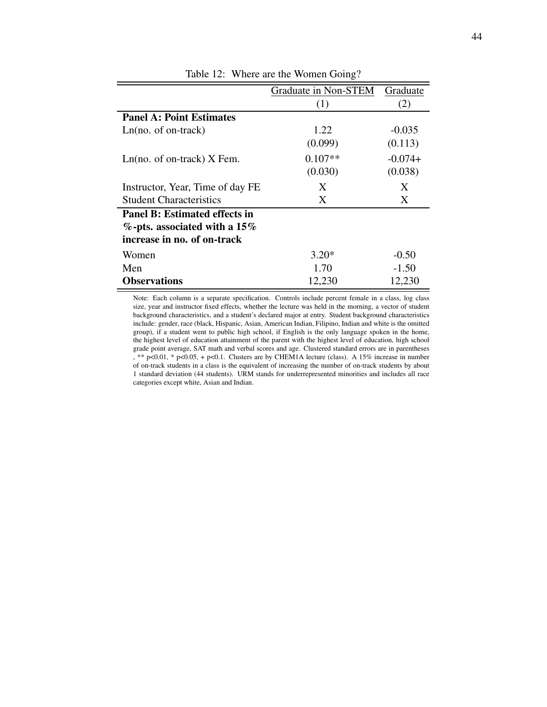<span id="page-43-0"></span>

|                                      | Graduate in Non-STEM | Graduate  |
|--------------------------------------|----------------------|-----------|
|                                      | (1)                  | (2)       |
| <b>Panel A: Point Estimates</b>      |                      |           |
| $Ln(no. of on-track)$                | 1.22                 | $-0.035$  |
|                                      | (0.099)              | (0.113)   |
| $Ln(no. of on-track)$ X Fem.         | $0.107**$            | $-0.074+$ |
|                                      | (0.030)              | (0.038)   |
| Instructor, Year, Time of day FE     | X                    | X         |
| <b>Student Characteristics</b>       | X                    | X         |
| <b>Panel B: Estimated effects in</b> |                      |           |
| $\%$ -pts. associated with a 15%     |                      |           |
| increase in no. of on-track          |                      |           |
| Women                                | $3.20*$              | $-0.50$   |
| Men                                  | 1.70                 | $-1.50$   |
| <b>Observations</b>                  | 12,230               | 12,230    |

Table 12: Where are the Women Going?

Note: Each column is a separate specification. Controls include percent female in a class, log class size, year and instructor fixed effects, whether the lecture was held in the morning, a vector of student background characteristics, and a student's declared major at entry. Student background characteristics include: gender, race (black, Hispanic, Asian, American Indian, Filipino, Indian and white is the omitted group), if a student went to public high school, if English is the only language spoken in the home, the highest level of education attainment of the parent with the highest level of education, high school grade point average, SAT math and verbal scores and age. Clustered standard errors are in parentheses  $, ** p<0.01, * p<0.05, + p<0.1$ . Clusters are by CHEM1A lecture (class). A 15% increase in number of on-track students in a class is the equivalent of increasing the number of on-track students by about 1 standard deviation (44 students). URM stands for underrepresented minorities and includes all race categories except white, Asian and Indian.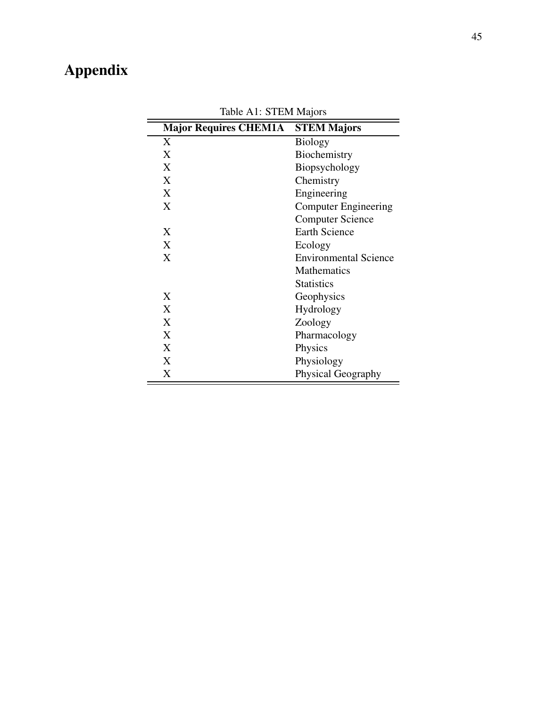# <span id="page-44-0"></span>Appendix

| <b>Major Requires CHEM1A</b> | <b>STEM Majors</b>           |
|------------------------------|------------------------------|
| X                            | <b>Biology</b>               |
| X                            | Biochemistry                 |
| X                            | Biopsychology                |
| X                            | Chemistry                    |
| X                            | Engineering                  |
| X                            | <b>Computer Engineering</b>  |
|                              | <b>Computer Science</b>      |
| X                            | <b>Earth Science</b>         |
| X                            | Ecology                      |
| X                            | <b>Environmental Science</b> |
|                              | <b>Mathematics</b>           |
|                              | <b>Statistics</b>            |
| X                            | Geophysics                   |
| X                            | <b>Hydrology</b>             |
| X                            | Zoology                      |
| X                            | Pharmacology                 |
| X                            | Physics                      |
| X                            | Physiology                   |
| X                            | <b>Physical Geography</b>    |

Table A1: STEM Majors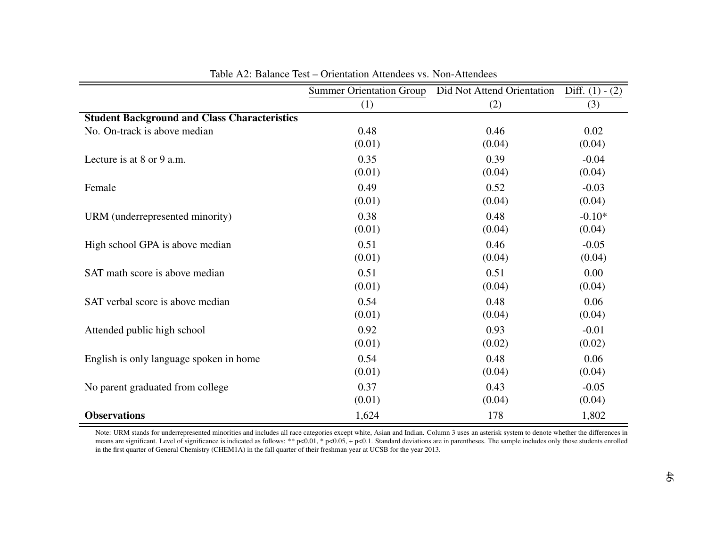|                                                     | <b>Summer Orientation Group</b> | Did Not Attend Orientation | Diff. $(1) - (2)$ |
|-----------------------------------------------------|---------------------------------|----------------------------|-------------------|
|                                                     | (1)                             | (2)                        | (3)               |
| <b>Student Background and Class Characteristics</b> |                                 |                            |                   |
| No. On-track is above median                        | 0.48                            | 0.46                       | 0.02              |
|                                                     | (0.01)                          | (0.04)                     | (0.04)            |
| Lecture is at $8$ or $9$ a.m.                       | 0.35                            | 0.39                       | $-0.04$           |
|                                                     | (0.01)                          | (0.04)                     | (0.04)            |
| Female                                              | 0.49                            | 0.52                       | $-0.03$           |
|                                                     | (0.01)                          | (0.04)                     | (0.04)            |
| URM (underrepresented minority)                     | 0.38                            | 0.48                       | $-0.10*$          |
|                                                     | (0.01)                          | (0.04)                     | (0.04)            |
| High school GPA is above median                     | 0.51                            | 0.46                       | $-0.05$           |
|                                                     | (0.01)                          | (0.04)                     | (0.04)            |
| SAT math score is above median                      | 0.51                            | 0.51                       | 0.00              |
|                                                     | (0.01)                          | (0.04)                     | (0.04)            |
| SAT verbal score is above median                    | 0.54                            | 0.48                       | 0.06              |
|                                                     | (0.01)                          | (0.04)                     | (0.04)            |
| Attended public high school                         | 0.92                            | 0.93                       | $-0.01$           |
|                                                     | (0.01)                          | (0.02)                     | (0.02)            |
| English is only language spoken in home             | 0.54                            | 0.48                       | 0.06              |
|                                                     | (0.01)                          | (0.04)                     | (0.04)            |
| No parent graduated from college                    | 0.37                            | 0.43                       | $-0.05$           |
|                                                     | (0.01)                          | (0.04)                     | (0.04)            |
| <b>Observations</b>                                 | 1,624                           | 178                        | 1,802             |

<span id="page-45-0"></span>

| Table A2: Balance Test – Orientation Attendees vs. Non-Attendees |
|------------------------------------------------------------------|
|------------------------------------------------------------------|

Note: URM stands for underrepresented minorities and includes all race categories except white, Asian and Indian. Column 3 uses an asterisk system to denote whether the differences in means are significant. Level of significance is indicated as follows: \*\*  $pc0.01$ , \*  $pc0.05$ , +  $pc0.1$ . Standard deviations are in parentheses. The sample includes only those students enrolled in the first quarter of General Chemistry (CHEM1A) in the fall quarter of their freshman year at UCSB for the year 2013.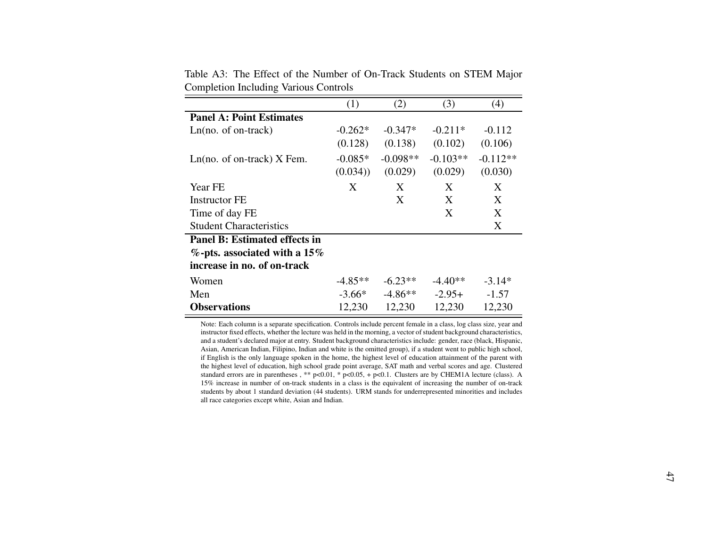|                                      | (1)       | (2)        | (3)        | (4)        |
|--------------------------------------|-----------|------------|------------|------------|
| <b>Panel A: Point Estimates</b>      |           |            |            |            |
| $Ln(no. of on-track)$                | $-0.262*$ | $-0.347*$  | $-0.211*$  | $-0.112$   |
|                                      | (0.128)   | (0.138)    | (0.102)    | (0.106)    |
| $Ln(no. of on-track)$ X Fem.         | $-0.085*$ | $-0.098**$ | $-0.103**$ | $-0.112**$ |
|                                      | (0.034)   | (0.029)    | (0.029)    | (0.030)    |
| Year FE                              | X         | X          | X          | X          |
| Instructor FE                        |           | X          | X          | X          |
| Time of day FE                       |           |            | X          | X          |
| <b>Student Characteristics</b>       |           |            |            | X          |
| <b>Panel B: Estimated effects in</b> |           |            |            |            |
| $\%$ -pts. associated with a 15%     |           |            |            |            |
| increase in no. of on-track          |           |            |            |            |
| Women                                | $-4.85**$ | $-6.23**$  | $-4.40**$  | $-3.14*$   |
| Men                                  | $-3.66*$  | $-4.86**$  | $-2.95+$   | $-1.57$    |
| <b>Observations</b>                  | 12,230    | 12,230     | 12,230     | 12,230     |

Table A3: The Effect of the Number of On-Track Students on STEM MajorCompletion Including Various Controls

<span id="page-46-0"></span>Note: Each column is <sup>a</sup> separate specification. Controls include percen<sup>t</sup> female in <sup>a</sup> class, log class size, year and instructor fixed effects, whether the lecture was held in the morning, <sup>a</sup> vector of student background characteristics, and <sup>a</sup> student's declared major at entry. Student background characteristics include: gender, race (black, Hispanic, Asian, American Indian, Filipino, Indian and white is the omitted group), if <sup>a</sup> student went to public high school, if English is the only language spoken in the home, the highest level of education attainment of the paren<sup>t</sup> with the highest level of education, high school grade point average, SAT math and verbal scores and age. Clustered standard errors are in parentheses , \*\* p<0.01, \* p<0.05, <sup>+</sup> p<0.1. Clusters are by CHEM1A lecture (class). A 15% increase in number of on-track students in <sup>a</sup> class is the equivalent of increasing the number of on-track students by about 1 standard deviation (44 students). URM stands for underrepresented minorities and includesall race categories excep<sup>t</sup> white, Asian and Indian.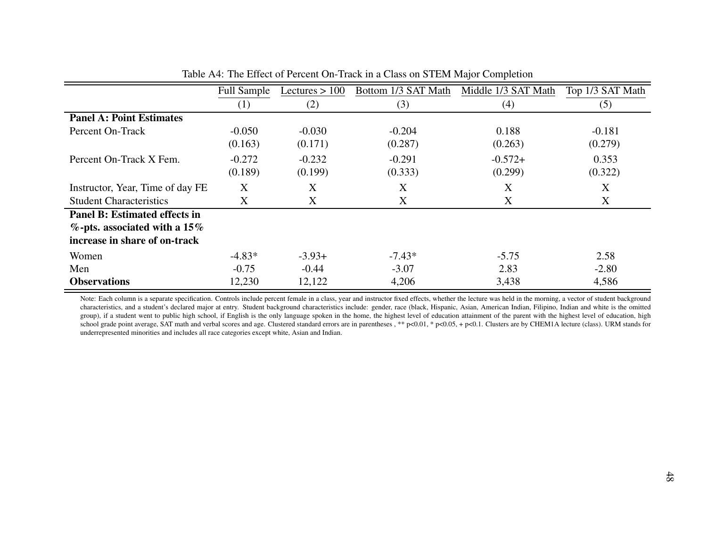|                                      | <b>Full Sample</b> | Lectures $> 100$ | Bottom 1/3 SAT Math | Middle 1/3 SAT Math | Top 1/3 SAT Math |
|--------------------------------------|--------------------|------------------|---------------------|---------------------|------------------|
|                                      | (1)                | (2)              | (3)                 | (4)                 | (5)              |
| <b>Panel A: Point Estimates</b>      |                    |                  |                     |                     |                  |
| Percent On-Track                     | $-0.050$           | $-0.030$         | $-0.204$            | 0.188               | $-0.181$         |
|                                      | (0.163)            | (0.171)          | (0.287)             | (0.263)             | (0.279)          |
| Percent On-Track X Fem.              | $-0.272$           | $-0.232$         | $-0.291$            | $-0.572+$           | 0.353            |
|                                      | (0.189)            | (0.199)          | (0.333)             | (0.299)             | (0.322)          |
| Instructor, Year, Time of day FE     | X                  | X                | X                   | X                   | X                |
| <b>Student Characteristics</b>       | X                  | X                | X                   | X                   | X                |
| <b>Panel B: Estimated effects in</b> |                    |                  |                     |                     |                  |
| $\%$ -pts. associated with a 15%     |                    |                  |                     |                     |                  |
| increase in share of on-track        |                    |                  |                     |                     |                  |
| Women                                | $-4.83*$           | $-3.93+$         | $-7.43*$            | $-5.75$             | 2.58             |
| Men                                  | $-0.75$            | $-0.44$          | $-3.07$             | 2.83                | $-2.80$          |
| <b>Observations</b>                  | 12,230             | 12,122           | 4,206               | 3,438               | 4,586            |

| Table A4: The Effect of Percent On-Track in a Class on STEM Major Completion |  |
|------------------------------------------------------------------------------|--|
|------------------------------------------------------------------------------|--|

<span id="page-47-0"></span>Note: Each column is <sup>a</sup> separate specification. Controls include percen<sup>t</sup> female in <sup>a</sup> class, year and instructor fixed effects, whether the lecture was held in the morning, <sup>a</sup> vector of student background characteristics, and <sup>a</sup> student's declared major at entry. Student background characteristics include: gender, race (black, Hispanic, Asian, American Indian, Filipino, Indian and white is the omittedgroup), if a student went to public high school, if English is the only language spoken in the home, the highest level of education attainment of the parent with the highest level of education, high school grade point average, SAT math and verbal scores and age. Clustered standard errors are in parentheses , \*\* p<0.01, \* p<0.05, + p<0.1. Clusters are by CHEM1A lecture (class). URM stands for underrepresented minorities and includes all race categories excep<sup>t</sup> white, Asian and Indian.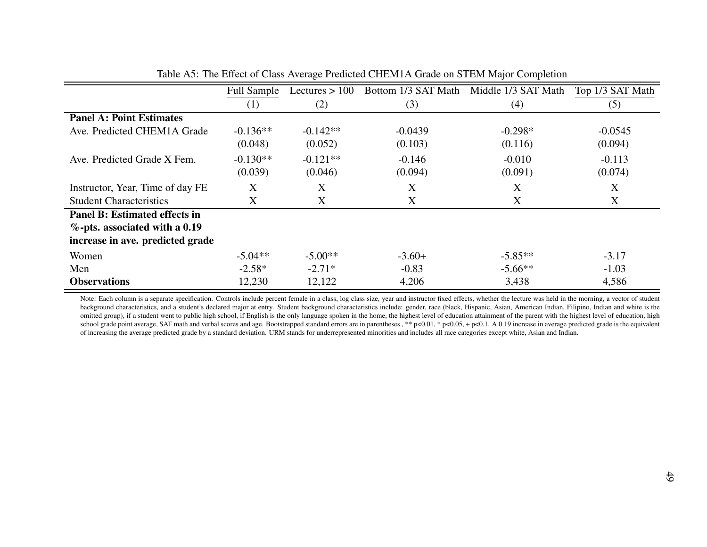|                                      | <b>Full Sample</b> | Lectures $> 100$ | Bottom 1/3 SAT Math | Middle 1/3 SAT Math | Top 1/3 SAT Math |
|--------------------------------------|--------------------|------------------|---------------------|---------------------|------------------|
|                                      | (1)                | (2)              | (3)                 | (4)                 | (5)              |
| <b>Panel A: Point Estimates</b>      |                    |                  |                     |                     |                  |
| Ave. Predicted CHEM1A Grade          | $-0.136**$         | $-0.142**$       | $-0.0439$           | $-0.298*$           | $-0.0545$        |
|                                      | (0.048)            | (0.052)          | (0.103)             | (0.116)             | (0.094)          |
| Ave. Predicted Grade X Fem.          | $-0.130**$         | $-0.121**$       | $-0.146$            | $-0.010$            | $-0.113$         |
|                                      | (0.039)            | (0.046)          | (0.094)             | (0.091)             | (0.074)          |
| Instructor, Year, Time of day FE     | X                  | X                | X                   | X                   | X                |
| <b>Student Characteristics</b>       | X                  | X                | X                   | X                   | X                |
| <b>Panel B: Estimated effects in</b> |                    |                  |                     |                     |                  |
| $\%$ -pts. associated with a 0.19    |                    |                  |                     |                     |                  |
| increase in ave. predicted grade     |                    |                  |                     |                     |                  |
| Women                                | $-5.04**$          | $-5.00**$        | $-3.60+$            | $-5.85**$           | $-3.17$          |
| Men                                  | $-2.58*$           | $-2.71*$         | $-0.83$             | $-5.66**$           | $-1.03$          |
| <b>Observations</b>                  | 12,230             | 12,122           | 4,206               | 3,438               | 4,586            |

Table A5: The Effect of Class Average Predicted CHEM1A Grade on STEM Major Completion

<span id="page-48-0"></span>Note: Each column is a separate specification. Controls include percent female in a class, log class size, year and instructor fixed effects, whether the lecture was held in the morning, a vector of student background characteristics, and a student's declared major at entry. Student background characteristics include: gender, race (black, Hispanic, Asian, American Indian, Filipino, Indian and white is the omitted group), if a student went to public high school, if English is the only language spoken in the home, the highest level of education attainment of the parent with the highest level of education, high school grade point average, SAT math and verbal scores and age. Bootstrapped standard errors are in parentheses , \*\* p<0.01, \* p<0.05, + p<0.1. A 0.19 increase in average predicted grade is the equivalent of increasing the average predicted grade by <sup>a</sup> standard deviation. URM stands for underrepresented minorities and includes all race categories excep<sup>t</sup> white, Asian and Indian.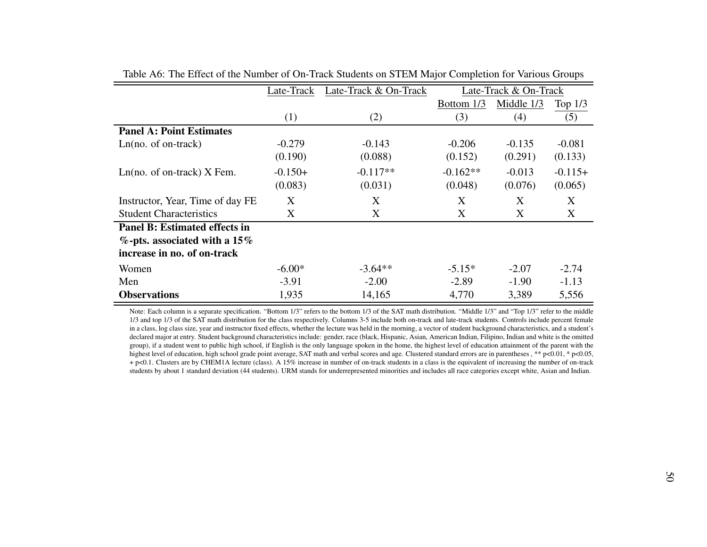|                                  | Late-Track | Late-Track & On-Track |            | Late-Track & On-Track |           |  |
|----------------------------------|------------|-----------------------|------------|-----------------------|-----------|--|
|                                  |            |                       | Bottom 1/3 | Middle 1/3            | Top $1/3$ |  |
|                                  | (1)        | (2)                   | (3)        | (4)                   | (5)       |  |
| <b>Panel A: Point Estimates</b>  |            |                       |            |                       |           |  |
| $Ln(no. of on-track)$            | $-0.279$   | $-0.143$              | $-0.206$   | $-0.135$              | $-0.081$  |  |
|                                  | (0.190)    | (0.088)               | (0.152)    | (0.291)               | (0.133)   |  |
| $Ln(no. of on-track)$ X Fem.     | $-0.150+$  | $-0.117**$            | $-0.162**$ | $-0.013$              | $-0.115+$ |  |
|                                  | (0.083)    | (0.031)               | (0.048)    | (0.076)               | (0.065)   |  |
| Instructor, Year, Time of day FE | Χ          | X                     | X          | X                     | X         |  |
| <b>Student Characteristics</b>   | Χ          | X                     | X          | X                     | X         |  |
| Panel B: Estimated effects in    |            |                       |            |                       |           |  |
| $\%$ -pts. associated with a 15% |            |                       |            |                       |           |  |
| increase in no. of on-track      |            |                       |            |                       |           |  |
| Women                            | $-6.00*$   | $-3.64**$             | $-5.15*$   | $-2.07$               | $-2.74$   |  |
| Men                              | $-3.91$    | $-2.00$               | $-2.89$    | $-1.90$               | $-1.13$   |  |
| <b>Observations</b>              | 1,935      | 14,165                | 4,770      | 3,389                 | 5,556     |  |

Table A6: The Effect of the Number of On-Track Students on STEM Major Completion for Various Groups

<span id="page-49-0"></span>Note: Each column is a separate specification. "Bottom 1/3" refers to the bottom 1/3 of the SAT math distribution. "Middle 1/3" and "Top 1/3" refer to the middle 1/3 and top 1/3 of the SAT math distribution for the class respectively. Columns 3-5 include both on-track and late-track students. Controls include percen<sup>t</sup> female in <sup>a</sup> class, log class size, year and instructor fixed effects, whether the lecture was held in the morning, <sup>a</sup> vector of student background characteristics, and <sup>a</sup> student's declared major at entry. Student background characteristics include: gender, race (black, Hispanic, Asian, American Indian, Filipino, Indian and white is the omitted group), if <sup>a</sup> student went to public high school, if English is the only language spoken in the home, the highest level of education attainment of the paren<sup>t</sup> with thehighest level of education, high school grade point average, SAT math and verbal scores and age. Clustered standard errors are in parentheses , \*\* p<0.01, \* p<0.05, <sup>+</sup> p<0.1. Clusters are by CHEM1A lecture (class). A 15% increase in number of on-track students in <sup>a</sup> class is the equivalent of increasing the number of on-trackstudents by about 1 standard deviation (44 students). URM stands for underrepresented minorities and includes all race categories excep<sup>t</sup> white, Asian and Indian.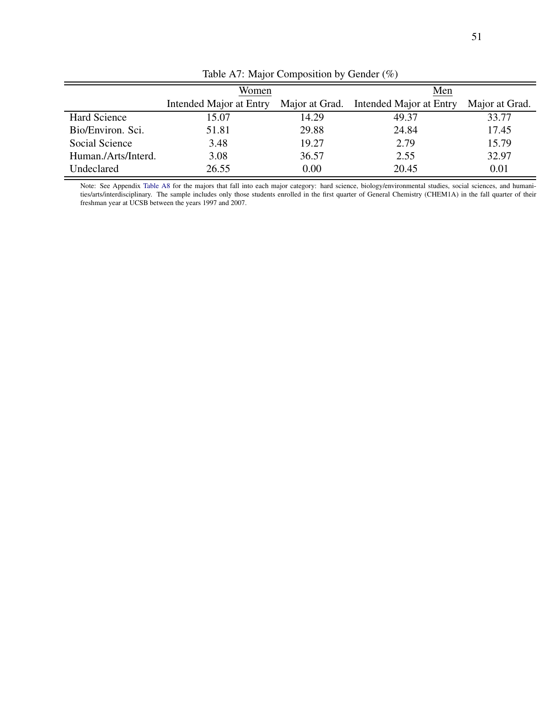<span id="page-50-0"></span>

|                     | Women                   |       | Men                                    |                |  |
|---------------------|-------------------------|-------|----------------------------------------|----------------|--|
|                     | Intended Major at Entry |       | Major at Grad. Intended Major at Entry | Major at Grad. |  |
| Hard Science        | 15.07                   | 14.29 | 49.37                                  | 33.77          |  |
| Bio/Environ. Sci.   | 51.81                   | 29.88 | 24.84                                  | 17.45          |  |
| Social Science      | 3.48                    | 19.27 | 2.79                                   | 15.79          |  |
| Human./Arts/Interd. | 3.08                    | 36.57 | 2.55                                   | 32.97          |  |
| Undeclared          | 26.55                   | 0.00  | 20.45                                  | 0.01           |  |

Table A7: Major Composition by Gender (%)

Note: See Appendix [Table A8](#page-51-0) for the majors that fall into each major category: hard science, biology/environmental studies, social sciences, and humanities/arts/interdisciplinary. The sample includes only those students enrolled in the first quarter of General Chemistry (CHEM1A) in the fall quarter of their freshman year at UCSB between the years 1997 and 2007.